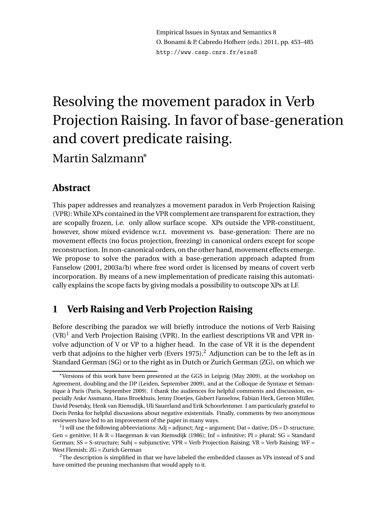Empirical Issues in Syntax and Semantics 8 O. Bonami & P. Cabredo Hofherr (eds.) 2011, pp. 453–485 http://www.cssp.cnrs.fr/eiss8

# Resolving the movement paradox in Verb Projection Raising. In favor of base-generation and covert predicate raising. Martin Salzmann<sup>\*</sup>

### **Abstract**

This paper addresses and reanalyzes a movement paradox in Verb Projection Raising (VPR): While XPs contained in the VPR complement are transparent for extraction, they are scopally frozen, i.e. only allow surface scope. XPs outside the VPR-constituent, however, show mixed evidence w.r.t. movement vs. base-generation: There are no movement effects (no focus projection, freezing) in canonical orders except for scope reconstruction. In non-canonical orders, on the other hand, movement effects emerge. We propose to solve the paradox with a base-generation approach adapted from Fanselow (2001, 2003a/b) where free word order is licensed by means of covert verb incorporation. By means of a new implementation of predicate raising this automatically explains the scope facts by giving modals a possibility to outscope XPs at LF.

# **1 Verb Raising and Verb Projection Raising**

Before describing the paradox we will briefly introduce the notions of Verb Raising  $(VR)^1$  and Verb Projection Raising (VPR). In the earliest descriptions VR and VPR involve adjunction of V or VP to a higher head. In the case of VR it is the dependent verb that adjoins to the higher verb (Evers 1975).<sup>2</sup> Adjunction can be to the left as in Standard German (SG) or to the right as in Dutch or Zurich German (ZG), on which we

<sup>∗</sup>Versions of this work have been presented at the GGS in Leipzig (May 2009), at the workshop on Agreement, doubling and the DP (Leiden, September 2009), and at the Colloque de Syntaxe et Sémantique à Paris (Paris, September 2009). I thank the audiences for helpful comments and discussion, especially Anke Assmann, Hans Broekhuis, Jenny Doetjes, Gisbert Fanselow, Fabian Heck, Gereon Müller, David Pesetsky, Henk van Riemsdijk, Uli Sauerland and Erik Schoorlemmer. I am particularly grateful to Doris Penka for helpful discussions about negative existentials. Finally, comments by two anonymous reviewers have led to an improvement of the paper in many ways.

<sup>&</sup>lt;sup>1</sup>I will use the following abbreviations: Adj = adjunct; Arg = argument; Dat = dative; DS = D-structure; Gen = genitive; H & R = Haegeman & van Riemsdijk (1986); Inf = infinitive; Pl = plural; SG = Standard German; SS = S-structure; Subj = subjunctive; VPR = Verb Projection Raising; VR = Verb Raising; WF = West Flemish; ZG = Zurich German

 $2$ The description is simplified in that we have labeled the embedded clauses as VPs instead of S and have omitted the pruning mechanism that would apply to it.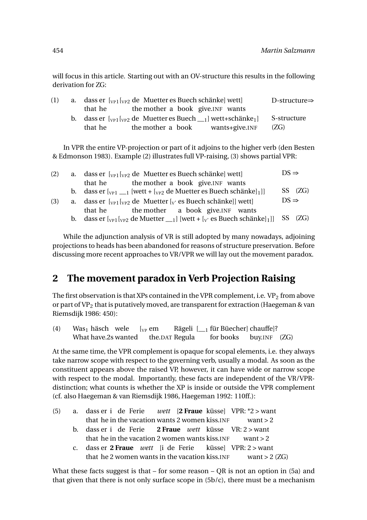will focus in this article. Starting out with an OV-structure this results in the following derivation for ZG:

| (1) |         | a. dass er $\lceil v_{P1} \rceil v_{P2}$ de Muetter es Buech schänkel wettl |                | D-structure $\Rightarrow$ |
|-----|---------|-----------------------------------------------------------------------------|----------------|---------------------------|
|     | that he | the mother a book give. INF wants                                           |                |                           |
|     |         |                                                                             |                | S-structure               |
|     | that he | the mother a book                                                           | wants+give.INF | (ZG)                      |

In VPR the entire VP-projection or part of it adjoins to the higher verb (den Besten & Edmonson 1983). Example (2) illustrates full VP-raising, (3) shows partial VPR:

| (2) |                                                                                                         | a. dass er $\lbrack v_{\text{P1}} \rbrack v_{\text{P2}}$ de Muetter es Buech schänke] wett]           |  |         |  |  |
|-----|---------------------------------------------------------------------------------------------------------|-------------------------------------------------------------------------------------------------------|--|---------|--|--|
|     |                                                                                                         | the mother a book give. INF wants<br>that he                                                          |  |         |  |  |
|     |                                                                                                         | b. dass er $\lbrack v_{P1} \rbrack_{1}$ [wett + $\lbrack v_{P2} \rbrack$ de Muetter es Buech schänke] |  | SS (ZG) |  |  |
| (3) | a. dass er $\lbrack v_{\text{PI}} \rbrack v_{\text{P2}}$ de Muetter $\lbrack v$ es Buech schänke]] wett |                                                                                                       |  |         |  |  |
|     |                                                                                                         | the mother a book give. INF wants<br>that he                                                          |  |         |  |  |
|     |                                                                                                         |                                                                                                       |  |         |  |  |

While the adjunction analysis of VR is still adopted by many nowadays, adjoining projections to heads has been abandoned for reasons of structure preservation. Before discussing more recent approaches to VR/VPR we will lay out the movement paradox.

# **2 The movement paradox in Verb Projection Raising**

The first observation is that XPs contained in the VPR complement, i.e.  $VP_2$  from above or part of VP<sub>2</sub> that is putatively moved, are transparent for extraction (Haegeman & van Riemsdijk 1986: 450):

| (4) | Was <sub>1</sub> häsch wele $\lbrack v_P$ em |  | Rägeli $\mathfrak{l}_{-1}$ für Büecher] chauffe]? |  |
|-----|----------------------------------------------|--|---------------------------------------------------|--|
|     | What have.2s wanted the.DAT Regula           |  | for books buy.INF (ZG)                            |  |

At the same time, the VPR complement is opaque for scopal elements, i.e. they always take narrow scope with respect to the governing verb, usually a modal. As soon as the constituent appears above the raised VP, however, it can have wide or narrow scope with respect to the modal. Importantly, these facts are independent of the VR/VPRdistinction; what counts is whether the XP is inside or outside the VPR complement (cf. also Haegeman & van Riemsdijk 1986, Haegeman 1992: 110ff.):

| (5) | a. dass er i de Ferie <i>wett</i> [2 Fraue küsse] VPR: *2 > want      |
|-----|-----------------------------------------------------------------------|
|     | that he in the vacation wants 2 women kiss. INF want $> 2$            |
|     | b. dass er i de Ferie 2 <b>Fraue</b> <i>wett</i> küsse VR: $2 >$ want |
|     | that he in the vacation 2 women wants kiss. INF want $> 2$            |
|     | c. dass er 2 Fraue <i>wett</i> [i de Ferie küsse] VPR: 2 > want       |
|     | that he 2 women wants in the vacation kiss. INF want > $2$ (ZG)       |

What these facts suggest is that – for some reason – QR is not an option in (5a) and that given that there is not only surface scope in (5b/c), there must be a mechanism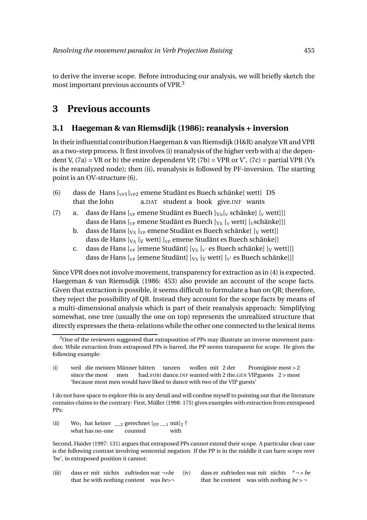to derive the inverse scope. Before introducing our analysis, we will briefly sketch the most important previous accounts of VPR.<sup>3</sup>

# **3 Previous accounts**

### **3.1 Haegeman & van Riemsdijk (1986): reanalysis + inversion**

In their influential contribution Haegeman & van Riemsdijk (H&R) analyze VR and VPR as a two-step process. It first involves (i) reanalysis of the higher verb with a) the dependent V,  $(7a)$  = VR or b) the entire dependent VP,  $(7b)$  = VPR or V',  $(7c)$  = partial VPR (Vx is the reanalyzed node); then (ii), reanalysis is followed by PF-inversion. The starting point is an OV-structure (6).

- (6) dass de Hans  $\left[\sqrt{\frac{p}{p}}\right]$  emene Studänt es Buech schänke] wett DS that the John a.DAT student a book give.INF wants
- (7) a. dass de Hans  $\left[\begin{smallmatrix}V_P\end{smallmatrix}\right]$  emene Studänt es Buech  $\left[\begin{smallmatrix}V_X\\V_X\end{smallmatrix}\right]$  schänke]  $\left[\begin{smallmatrix}V_Y\end{smallmatrix}\right]$  wett]] dass de Hans  $\left[\begin{smallmatrix}V_P\end{smallmatrix}\right]$  emene Studänt es Buech  $\left[\begin{smallmatrix}V_X\end{smallmatrix}\right]$   $\left[\begin{smallmatrix}V_X\end{smallmatrix}\right]$  wett $\left[\begin{smallmatrix}V_X\end{smallmatrix}\right]$ 
	- b. dass de Hans  $[v_x]_{vp}$  emene Studänt es Buech schänke]  $[v$  wett]] dass de Hans  $[y_x]$  wett $[y_p]$  emene Studänt es Buech schänke]
	- c. dass de Hans  $\begin{bmatrix} V_P \end{bmatrix}$  [emene Studänt]  $\begin{bmatrix} V_X & V_Y \end{bmatrix}$  es Buech schänke]  $\begin{bmatrix} V_W & W_Y \end{bmatrix}$ dass de Hans  $\left[v_{P}\right]$  [emene Studänt]  $\left[v_{X}\right]$  [v wett]  $\left[v\right]$  es Buech schänke]]]

Since VPR does not involve movement, transparency for extraction as in (4) is expected. Haegeman & van Riemsdijk (1986: 453) also provide an account of the scope facts. Given that extraction is possible, it seems difficult to formulate a ban on QR; therefore, they reject the possibility of QR. Instead they account for the scope facts by means of a multi-dimensional analysis which is part of their reanalysis approach: Simplifying somewhat, one tree (usually the one on top) represents the unrealized structure that directly expresses the theta-relations while the other one connected to the lexical items

I do not have space to explore this in any detail and will confine myself to pointing out that the literature contains claims to the contrary: First, Müller (1998: 175) gives examples with extraction from extraposed PPs:

(ii) Wo<sub>1</sub> hat keiner  $\frac{1}{2}$  gerechnet  $\frac{[pp_1 \dots p_n]}{[pp_1 \dots p_n]}$ ? what has no-one counted with

Second, Haider (1997: 131) argues that extraposed PPs cannot extend their scope. A particular clear case is the following contrast involving sentential negation: If the PP is in the middle it can have scope over 'be', in extraposed position it cannot:

(iii) dass er mit nichts zufrieden war *¬>be* that he with nothing content was *be>¬* (iv) dass er zufrieden war mit nichts *\* ¬ > be* that he content was with nothing *be > ¬*

<sup>&</sup>lt;sup>3</sup>One of the reviewers suggested that extraposition of PPs may illustrate an inverse movement paradox: While extraction from extraposed PPs is barred, the PP seems transparent for scope. He gives the following example:

<sup>(</sup>i) weil die meisten Männer hätten tanzen wollen mit 2 der since the most men had.SUBJ dance.INF wanted with 2 the.GEN VIP.guests 2 > most Promigäste most > 2 'because most men would have liked to dance with two of the VIP guests'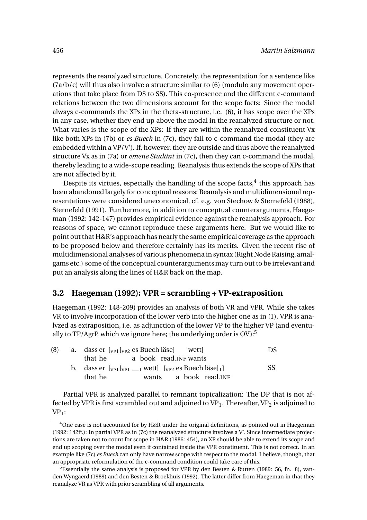represents the reanalyzed structure. Concretely, the representation for a sentence like  $(7a/b/c)$  will thus also involve a structure similar to  $(6)$  (modulo any movement operations that take place from DS to SS). This co-presence and the different c-command relations between the two dimensions account for the scope facts: Since the modal always c-commands the XPs in the theta-structure, i.e. (6), it has scope over the XPs in any case, whether they end up above the modal in the reanalyzed structure or not. What varies is the scope of the XPs: If they are within the reanalyzed constituent Vx like both XPs in (7b) or *es Buech* in (7c), they fail to c-command the modal (they are embedded within a VP/V'). If, however, they are outside and thus above the reanalyzed structure Vx as in (7a) or *emene Studänt* in (7c), then they can c-command the modal, thereby leading to a wide-scope reading. Reanalysis thus extends the scope of XPs that are not affected by it.

Despite its virtues, especially the handling of the scope facts, $4$  this approach has been abandoned largely for conceptual reasons: Reanalysis and multidimensional representations were considered uneconomical, cf. e.g. von Stechow & Sternefeld (1988), Sternefeld (1991). Furthermore, in addition to conceptual counterarguments, Haegeman (1992: 142-147) provides empirical evidence against the reanalysis approach. For reasons of space, we cannot reproduce these arguments here. But we would like to point out that H&R's approach has nearly the same empirical coverage as the approach to be proposed below and therefore certainly has its merits. Given the recent rise of multidimensional analyses of various phenomena in syntax (Right Node Raising, amalgams etc.) some of the conceptual counterargumentsmay turn out to be irrelevant and put an analysis along the lines of H&R back on the map.

#### **3.2 Haegeman (1992): VPR = scrambling + VP-extraposition**

Haegeman (1992: 148-209) provides an analysis of both VR and VPR. While she takes VR to involve incorporation of the lower verb into the higher one as in (1), VPR is analyzed as extraposition, i.e. as adjunction of the lower VP to the higher VP (and eventually to  $TP/A$ grP, which we ignore here; the underlying order is  $OV$ .<sup>5</sup>

| (8) | a. dass er $\lbrack v_{P1} \rbrack v_{P2}$ es Buech läse wett     |                        | DS  |
|-----|-------------------------------------------------------------------|------------------------|-----|
|     | that he a book read. INF wants                                    |                        |     |
|     | b. dass er $[v_{P1}[v_{P1}]]$ wett $[v_{P2}]$ es Buech läse $]_1$ |                        | SS. |
|     | that he                                                           | wants a book read. INF |     |

Partial VPR is analyzed parallel to remnant topicalization: The DP that is not affected by VPR is first scrambled out and adjoined to VP<sub>1</sub>. Thereafter, VP<sub>2</sub> is adjoined to  $VP_1$ :

 $4$ One case is not accounted for by H&R under the original definitions, as pointed out in Haegeman (1992: 142ff.): In partial VPR as in (7c) the reanalyzed structure involves a V'. Since intermediate projections are taken not to count for scope in H&R (1986: 454), an XP should be able to extend its scope and end up scoping over the modal even if contained inside the VPR constituent. This is not correct. In an example like (7c) *es Buech* can only have narrow scope with respect to the modal. I believe, though, that an appropriate reformulation of the c-command condition could take care of this.

<sup>&</sup>lt;sup>5</sup>Essentially the same analysis is proposed for VPR by den Besten & Rutten (1989: 56, fn. 8), vanden Wyngaerd (1989) and den Besten & Broekhuis (1992). The latter differ from Haegeman in that they reanalyze VR as VPR with prior scrambling of all arguments.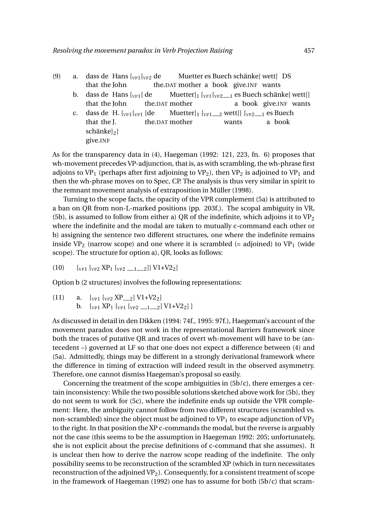- (9) a. dass de Hans  $\left[\sqrt{\frac{p}{p}}\right]$   $\left[\sqrt{\frac{p}{p}}\right]$  de that the John the.DAT mother a book give.INF wants Muetter es Buech schänke] wett] DS
	- b. dass de Hans [<sub>vP1</sub> [ de that the John the.DAT mother  $\text{Muetter}$ ] $_1$  [<sub>VP1</sub> [<sub>VP2</sub>\_\_<sub>1</sub> es Buech schänke] wett]] a book give.INF wants
	- c. dass de H.  $\lbrack v_{\text{P1}} \rbrack v_{\text{P1}}$  [de that the J. the.DAT mother Muetter] $_1$  [<sub>VP1</sub>\_\_<sub>2</sub> wett]] [<sub>VP2\_\_1</sub> es Buech wants a book  $schänke$ ] give.INF

As for the transparency data in (4), Haegeman (1992: 121, 223, fn. 6) proposes that wh-movement precedes VP-adjunction, that is, as with scrambling, the wh-phrase first adjoins to VP<sub>1</sub> (perhaps after first adjoining to VP<sub>2</sub>), then VP<sub>2</sub> is adjoined to VP<sub>1</sub> and then the wh-phrase moves on to Spec, CP. The analysis is thus very similar in spirit to the remnant movement analysis of extraposition in Müller (1998).

Turning to the scope facts, the opacity of the VPR complement (5a) is attributed to a ban on QR from non-L-marked positions (pp. 203f.). The scopal ambiguity in VR, (5b), is assumed to follow from either a) QR of the indefinite, which adjoins it to  $VP<sub>2</sub>$ where the indefinite and the modal are taken to mutually c-command each other or b) assigning the sentence two different structures, one where the indefinite remains inside VP<sub>2</sub> (narrow scope) and one where it is scrambled (= adjoined) to VP<sub>1</sub> (wide scope). The structure for option a), QR, looks as follows:

 $(10)$   $[v_{P1} [v_{P2} XP_1 [v_{P2} - 1 - 2]] VI + V2_2]$ 

Option b (2 structures) involves the following representations:

(11) a.  $[v_{P1} \; [v_{P2} \; XP_{2}] \; V1+V2_2]$ b.  $[v_{P1} XP_1 [v_{P1} [v_{P2} -1] -2] V1+V2_2]$ 

As discussed in detail in den Dikken (1994: 74f., 1995: 97f.), Haegeman's account of the movement paradox does not work in the representational Barriers framework since both the traces of putative QR and traces of overt wh-movement will have to be (antecedent –) governed at LF so that one does not expect a difference between (4) and (5a). Admittedly, things may be different in a strongly derivational framework where the difference in timing of extraction will indeed result in the observed asymmetry. Therefore, one cannot dismiss Haegeman's proposal so easily.

Concerning the treatment of the scope ambiguities in (5b/c), there emerges a certain inconsistency: While the two possible solutions sketched above work for (5b), they do not seem to work for (5c), where the indefinite ends up outside the VPR complement: Here, the ambiguity cannot follow from two different structures (scrambled vs. non-scrambled) since the object must be adjoined to  $VP_1$  to escape adjunction of  $VP_2$ to the right. In that position the XP c-commands the modal, but the reverse is arguably not the case (this seems to be the assumption in Haegeman 1992: 205; unfortunately, she is not explicit about the precise definitions of c-command that she assumes). It is unclear then how to derive the narrow scope reading of the indefinite. The only possibility seems to be reconstruction of the scrambled XP (which in turn necessitates reconstruction of the adjoined  $VP_2$ ). Consequently, for a consistent treatment of scope in the framework of Haegeman (1992) one has to assume for both (5b/c) that scram-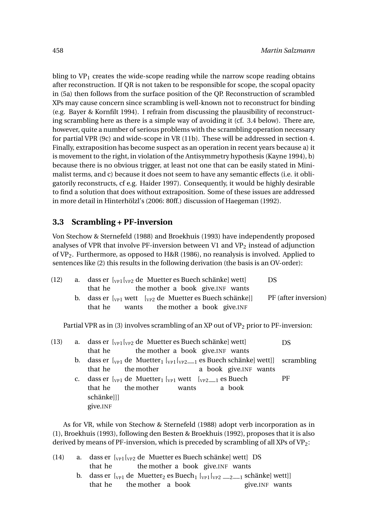bling to  $VP_1$  creates the wide-scope reading while the narrow scope reading obtains after reconstruction. If QR is not taken to be responsible for scope, the scopal opacity in (5a) then follows from the surface position of the QP. Reconstruction of scrambled XPs may cause concern since scrambling is well-known not to reconstruct for binding (e.g. Bayer & Kornfilt 1994). I refrain from discussing the plausibility of reconstructing scrambling here as there is a simple way of avoiding it (cf. 3.4 below). There are, however, quite a number of serious problems with the scrambling operation necessary for partial VPR (9c) and wide-scope in VR (11b). These will be addressed in section 4. Finally, extraposition has become suspect as an operation in recent years because a) it is movement to the right, in violation of the Antisymmetry hypothesis (Kayne 1994), b) because there is no obvious trigger, at least not one that can be easily stated in Minimalist terms, and c) because it does not seem to have any semantic effects (i.e. it obligatorily reconstructs, cf e.g. Haider 1997). Consequently, it would be highly desirable to find a solution that does without extraposition. Some of these issues are addressed in more detail in Hinterhölzl's (2006: 80ff.) discussion of Haegeman (1992).

#### **3.3 Scrambling + PF-inversion**

Von Stechow & Sternefeld (1988) and Broekhuis (1993) have independently proposed analyses of VPR that involve PF-inversion between V1 and  $VP<sub>2</sub>$  instead of adjunction of  $VP_2$ . Furthermore, as opposed to H&R (1986), no reanalysis is involved. Applied to sentences like (2) this results in the following derivation (the basis is an OV-order):

| (12) | a. dass er $\lceil v_{P1} \rceil v_{P2}$ de Muetter es Buech schänkel wettl     | DS.                  |
|------|---------------------------------------------------------------------------------|----------------------|
|      | the mother a book give. INF wants<br>that he                                    |                      |
|      | b. dass er $\lbrack v_{P1}$ wett $\lbrack v_{P2}$ de Muetter es Buech schänkell | PF (after inversion) |
|      | wants the mother a book give. INF<br>that he                                    |                      |
|      |                                                                                 |                      |

Partial VPR as in (3) involves scrambling of an XP out of  $VP_2$  prior to PF-inversion:

|  | (13) a. dass er $\left[\begin{smallmatrix}V_{PP}\end{smallmatrix}\right]$ de Muetter es Buech schänkel wettl            | DS |
|--|-------------------------------------------------------------------------------------------------------------------------|----|
|  | that he the mother a book give. INF wants                                                                               |    |
|  | b. dass er $[\sqrt{v_{P1}}]$ de Muetter <sub>1</sub> $[\sqrt{v_{P1}}]_{\text{V}P2}$ es Buech schänke] wett]] scrambling |    |
|  | that he the mother a book give. INF wants                                                                               |    |
|  | c. dass er $\lbrack v_{P1}$ de Muetter <sub>1</sub> $\lbrack v_{P1}$ wett $\lbrack v_{P2} \ldots \rbrack$ es Buech      | PF |
|  | that he the mother wants<br>a book                                                                                      |    |
|  | schänkelll                                                                                                              |    |
|  | give.INF                                                                                                                |    |
|  |                                                                                                                         |    |

As for VR, while von Stechow & Sternefeld (1988) adopt verb incorporation as in (1), Broekhuis (1993), following den Besten & Broekhuis (1992), proposes that it is also derived by means of PF-inversion, which is preceded by scrambling of all XPs of  $VP_2$ :

| (14) | a. dass er $\lbrack v_{\text{PI}}\rbrack v_{\text{P2}}$ de Muetter es Buech schänke wett DS                  |                 |
|------|--------------------------------------------------------------------------------------------------------------|-----------------|
|      | the mother a book give. INF wants<br>that he                                                                 |                 |
|      | b. dass er $[v_{P1}]$ de Muetter <sub>2</sub> es Buech <sub>1</sub> $[v_{P1}[v_{P2} \_2 \_1]$ schänke] wett] |                 |
|      | that he the mother a book                                                                                    | give. INF wants |
|      |                                                                                                              |                 |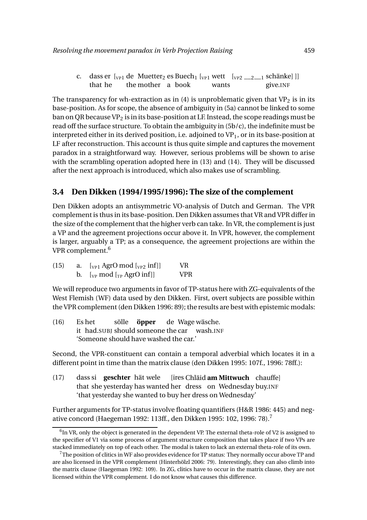c. dass er [<sub>VP1</sub> de Muetter<sub>2</sub> es Buech<sub>1</sub> [<sub>VP1</sub> wett [<sub>VP2</sub> \_\_<sub>2</sub> \_\_<sub>1</sub> schänke]]] that he the mother a book wants give.INF

The transparency for wh-extraction as in (4) is unproblematic given that  $VP<sub>2</sub>$  is in its base-position. As for scope, the absence of ambiguity in (5a) cannot be linked to some ban on QR because VP<sub>2</sub> is in its base-position at LF. Instead, the scope readings must be read off the surface structure. To obtain the ambiguity in (5b/c), the indefinite must be interpreted either in its derived position, i.e. adjoined to  $VP_1$ , or in its base-position at LF after reconstruction. This account is thus quite simple and captures the movement paradox in a straightforward way. However, serious problems will be shown to arise with the scrambling operation adopted here in (13) and (14). They will be discussed after the next approach is introduced, which also makes use of scrambling.

#### **3.4 Den Dikken (1994/1995/1996): The size of the complement**

Den Dikken adopts an antisymmetric VO-analysis of Dutch and German. The VPR complement is thus in its base-position. Den Dikken assumes that VR and VPR differ in the size of the complement that the higher verb can take. In VR, the complement is just a VP and the agreement projections occur above it. In VPR, however, the complement is larger, arguably a TP; as a consequence, the agreement projections are within the VPR complement.<sup>6</sup>

| (15) | a. $[\sqrt{p_1} \text{ AgrO mod } [\sqrt{p_2} \text{ inf}]]$                                                 | VR.  |
|------|--------------------------------------------------------------------------------------------------------------|------|
|      | b. $[\begin{bmatrix} V_P \text{ mod } [\begin{smallmatrix} T_P \text{ AgrO} \text{ inf} \end{smallmatrix}]]$ | VPR. |

We will reproduce two arguments in favor of TP-status here with ZG-equivalents of the West Flemish (WF) data used by den Dikken. First, overt subjects are possible within the VPR complement (den Dikken 1996: 89); the results are best with epistemic modals:

 $(16)$ it had.SUBJ should someone the car wash.INF Es het sölle **öpper** de Wage wäsche. 'Someone should have washed the car.'

Second, the VPR-constituent can contain a temporal adverbial which locates it in a different point in time than the matrix clause (den Dikken 1995: 107f., 1996: 78ff.):

(17) dass si **geschter** hät wele that she yesterday has wanted her dress on Wednesday buy.INF [ires Chläid **am Mittwuch** chauffe] 'that yesterday she wanted to buy her dress on Wednesday'

Further arguments for TP-status involve floating quantifiers (H&R 1986: 445) and negative concord (Haegeman 1992: 113ff., den Dikken 1995: 102, 1996: 78).<sup>7</sup>

 $^6$ In VR, only the object is generated in the dependent VP. The external theta-role of V2 is assigned to the specifier of V1 via some process of argument structure composition that takes place if two VPs are stacked immediately on top of each other. The modal is taken to lack an external theta-role of its own.

 $7$ The position of clitics in WF also provides evidence for TP status: They normally occur above TP and are also licensed in the VPR complement (Hinterhölzl 2006: 79). Interestingly, they can also climb into the matrix clause (Haegeman 1992: 109). In ZG, clitics have to occur in the matrix clause, they are not licensed within the VPR complement. I do not know what causes this difference.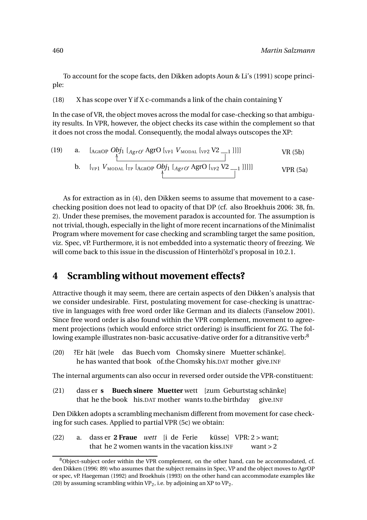To account for the scope facts, den Dikken adopts Aoun & Li's (1991) scope principle:

#### (18) X has scope over Y if X c-commands a link of the chain containing Y

In the case of VR, the object moves across the modal for case-checking so that ambiguity results. In VPR, however, the object checks its case within the complement so that it does not cross the modal. Consequently, the modal always outscopes the XP:

(19) a. 
$$
\begin{array}{cc}\n & \text{[A_{\text{GROP}}} \text{Obj}_1 \text{ [A}_{\text{grO}'} \text{AgrO} \text{ [v_{\text{PI}}} \text{ V}_{\text{MODAL}} \text{ [v_{\text{P2}}} \text{ V2 } \text{]} \text{ ]} \\
 & \text{[v_{\text{PI}}} \text{ V}_{\text{MODAL}} \text{ [r_{\text{PI}}} \text{ [A}_{\text{GROP}} \text{Obj}_1 \text{ [A}_{\text{grO}'} \text{AgrO} \text{ [v_{\text{P2}}} \text{ V2 } \text{]} \text{ ]} \\
 & \text{[v_{\text{PI}}} \text{ V}_{\text{MODAL}} \text{ [r_{\text{PI}}} \text{ [A}_{\text{GROP}} \text{Obj}_1 \text{ [A}_{\text{grO}'} \text{AgrO} \text{ [v_{\text{P2}}} \text{ V2 } \text{]} \text{ ]} \\
 & \text{[v_{\text{PI}}} \text{ V}_{\text{MO}} \text{ [S1]} \text{ [S2]} \text{ [S3]} \text{ ]} \\
 & \text{[v_{\text{PI}}} \text{ V}_{\text{MO}} \text{ [S4]} \text{ [S5]} \text{ [S6]} \text{ [S6]} \text{ [S7]} \text{ [S6]} \text{ [S8]} \text{ [S9]} \text{ [S1]} \text{ [S1]} \text{ [S1]} \text{ [S1]} \text{ [S2]} \text{ [S1]} \text{ [S1]} \text{ [S2]} \text{ [S3]} \text{ [S4]} \text{ [S4]} \text{ [S5]} \text{ [S6]} \text{ [S6]} \text{ [S7]} \text{ [S6]} \text{ [S7]} \text{ [S8]} \text{ [S9]} \text{ [S1]} \text{ [S1]} \text{ [S1]} \text{ [S2]} \text{ [S1]} \text{ [S1]} \text{ [S2]} \text{ [S3]} \text{ [S4]} \text{ [S4]} \text{ [S5]} \text{ [S6]} \text{ [S6]} \text{ [S7]} \text{ [S7]} \text{ [S8]} \text{ [S9]} \text{ [S1]} \text{ [S1]} \text{ [S1]} \text{ [S1]} \text{ [S2]} \text{ [S1]} \text{ [S1]} \text{ [S1]} \text{ [S2]} \text{ [S
$$

As for extraction as in (4), den Dikken seems to assume that movement to a casechecking position does not lead to opacity of that DP (cf. also Broekhuis 2006: 38, fn. 2). Under these premises, the movement paradox is accounted for. The assumption is not trivial, though, especially in the light of more recent incarnations of the Minimalist Program where movement for case checking and scrambling target the same position, viz. Spec, vP. Furthermore, it is not embedded into a systematic theory of freezing. We will come back to this issue in the discussion of Hinterhölzl's proposal in 10.2.1.

# **4 Scrambling without movement effects?**

Attractive though it may seem, there are certain aspects of den Dikken's analysis that we consider undesirable. First, postulating movement for case-checking is unattractive in languages with free word order like German and its dialects (Fanselow 2001). Since free word order is also found within the VPR complement, movement to agreement projections (which would enforce strict ordering) is insufficient for ZG. The following example illustrates non-basic accusative-dative order for a ditransitive verb:<sup>8</sup>

 $(20)$ he has wanted that book of.the Chomsky his.DAT mother give.INF hät [wele das Buech vom Chomsky sinere Muetter schänke].

The internal arguments can also occur in reversed order outside the VPR-constituent:

(21) dass er **s** that he the book his.DAT mother wants to.the birthday **Buech sinere Muetter** wett [zum Geburtstag schänke] give.INF

Den Dikken adopts a scrambling mechanism different from movement for case checking for such cases. Applied to partial VPR (5c) we obtain:

(22) a. dass er **2 Fraue** *wett* [i de Ferie that he 2 women wants in the vacation kiss.INF küsse] VPR: 2 > want; want  $> 2$ 

 $8$ Object-subject order within the VPR complement, on the other hand, can be accommodated, cf. den Dikken (1996: 89) who assumes that the subject remains in Spec, VP and the object moves to AgrOP or spec, vP. Haegeman (1992) and Broekhuis (1993) on the other hand can accommodate examples like (20) by assuming scrambling within  $VP_2$ , i.e. by adjoining an XP to  $VP_2$ .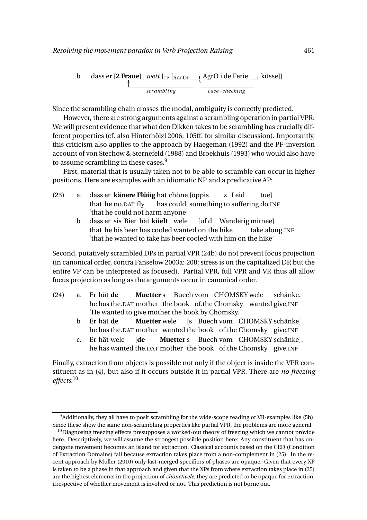b. dass er [2 **Frame**] *wett* [<sub>TP</sub> [AGROP 
$$
\_\_1
$$
 AgrO i de Ferie  $\_\_1$  küsse]] *scrambling case-checking*

Since the scrambling chain crosses the modal, ambiguity is correctly predicted.

However, there are strong arguments against a scrambling operation in partial VPR: We will present evidence that what den Dikken takes to be scrambling has crucially different properties (cf. also Hinterhölzl 2006: 105ff. for similar discussion). Importantly, this criticism also applies to the approach by Haegeman (1992) and the PF-inversion account of von Stechow & Sternefeld (1988) and Broekhuis (1993) who would also have to assume scrambling in these cases.  $9^9$ 

First, material that is usually taken not to be able to scramble can occur in higher positions. Here are examples with an idiomatic NP and a predicative AP:

- (23) a. dass er **känere Flüüg** hät chöne [öppis that he no.DAT fly has could something to suffering do.INF z Leid tue] 'that he could not harm anyone'
	- b. dass er sis Bier hät **küelt** wele that he his beer has cooled wanted on the hike [uf d Wanderig mitnee] take.along.INF 'that he wanted to take his beer cooled with him on the hike'

Second, putatively scrambled DPs in partial VPR (24b) do not prevent focus projection (in canonical order, contra Fanselow 2003a: 208; stress is on the capitalized DP, but the entire VP can be interpreted as focused). Partial VPR, full VPR and VR thus all allow focus projection as long as the arguments occur in canonical order.

- (24) a. Er hät **de** he has the.DAT mother the book of.the Chomsky wanted give.INF **Muetter** s Buech vom CHOMSKY wele schänke. 'He wanted to give mother the book by Chomsky.'
	- b. Er hät **de** he has the.DAT mother wanted the book of.the Chomsky give.INF **Muetter** wele [s Buech vom CHOMSKY schänke].
	- c. Er hät wele he has wanted the.DAT mother the book of.the Chomsky give.INF [**de Muetter** s Buech vom CHOMSKY schänke].

Finally, extraction from objects is possible not only if the object is inside the VPR constituent as in (4), but also if it occurs outside it in partial VPR. There are *no freezing effects*: 10

<sup>9</sup>Additionally, they all have to posit scrambling for the wide-scope reading of VR-examples like (5b). Since these show the same non-scrambling properties like partial VPR, the problems are more general.

 $10$ Diagnosing freezing effects presupposes a worked-out theory of freezing which we cannot provide here. Descriptively, we will assume the strongest possible position here: Any constituent that has undergone movement becomes an island for extraction. Classical accounts based on the CED (Condition of Extraction Domains) fail because extraction takes place from a non-complement in (25). In the recent approach by Müller (2010) only last-merged specifiers of phases are opaque. Given that every XP is taken to be a phase in that approach and given that the XPs from where extraction takes place in (25) are the highest elements in the projection of *chöne/wele*, they are predicted to be opaque for extraction, irrespective of whether movement is involved or not. This prediction is not borne out.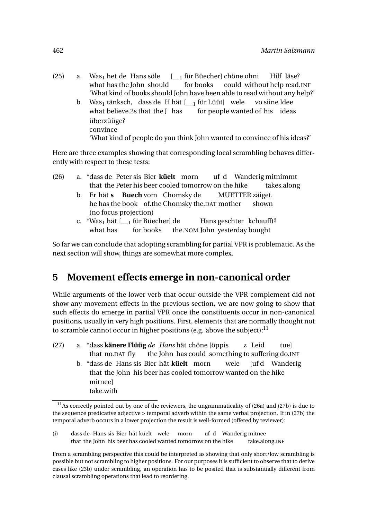- $(25)$  a. Was<sub>1</sub> het de Hans söle what has the John should [\_\_<sup>1</sup> für Büecher] chöne ohni for books could without help read.INF Hilf läse? 'What kind of books should John have been able to read without any help?'
	- b. Was $_1$  tänksch, dass de H hät [\_\_ $_1$  für Lüüt] wele what believe.2s that the J has for people wanted of his ideas vo siine Idee überzüüge? convince 'What kind of people do you think John wanted to convince of his ideas?'

Here are three examples showing that corresponding local scrambling behaves differently with respect to these tests:

- (26) a. \*dass de Peter sis Bier **küelt** morn that the Peter his beer cooled tomorrow on the hike uf d Wanderig mitnimmt takes.along
	- b. Er hät **s Buech** vom Chomsky de he has the book of.the Chomsky the.DAT mother MUETTER zäiget. shown (no focus projection)
	- c. \*Was<sub>1</sub> hät [\_\_<sub>1</sub> für Büecher] de what has for books the.NOM John yesterday bought Hans geschter kchaufft?

So far we can conclude that adopting scrambling for partial VPR is problematic. As the next section will show, things are somewhat more complex.

# **5 Movement effects emerge in non-canonical order**

While arguments of the lower verb that occur outside the VPR complement did not show any movement effects in the previous section, we are now going to show that such effects do emerge in partial VPR once the constituents occur in non-canonical positions, usually in very high positions. First, elements that are normally thought not to scramble cannot occur in higher positions (e.g. above the subject):  $<sup>11</sup>$ </sup>

(27) a. \*dass **känere Flüüg** *de Hans* hät chöne [öppis that no.DAT fly the John has could something to suffering do.INF z Leid tue] b. \*dass de Hans sis Bier hät **küelt** morn that the John his beer has cooled tomorrow wanted on the hike wele [uf d Wanderig mitnee] take.with

 $11$ As correctly pointed out by one of the reviewers, the ungrammaticality of (26a) and (27b) is due to the sequence predicative adjective > temporal adverb within the same verbal projection. If in (27b) the temporal adverb occurs in a lower projection the result is well-formed (offered by reviewer):

<sup>(</sup>i) dass de Hans sis Bier hät küelt wele that the John his beer has cooled wanted tomorrow on the hike morn uf d Wanderig mitnee take.along.INF

From a scrambling perspective this could be interpreted as showing that only short/low scrambling is possible but not scrambling to higher positions. For our purposes it is sufficient to observe that to derive cases like (23b) under scrambling, an operation has to be posited that is substantially different from clausal scrambling operations that lead to reordering.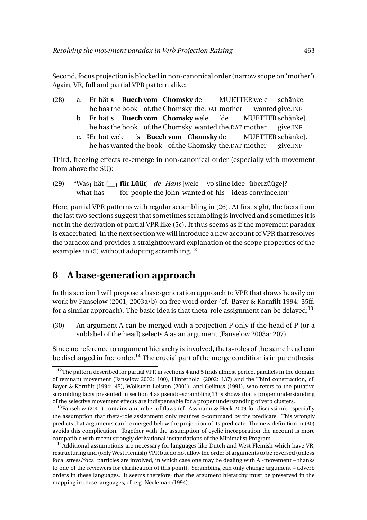Second, focus projection is blocked in non-canonical order (narrow scope on 'mother'). Again, VR, full and partial VPR pattern alike:

- (28) a. Er hät **s Buech vom Chomsky** de he has the book of.the Chomsky the.DAT mother MUETTER wele wanted give.INF schänke.
	- b. Er hät **s Buech vom Chomsky** wele he has the book of.the Chomsky wanted the.DAT mother [de MUETTER schänke]. give.INF
	- c. ?Er hät wele he has wanted the book of.the Chomsky the.DAT mother [**s Buech vom Chomsky** de MUETTER schänke]. give.INF

Third, freezing effects re-emerge in non-canonical order (especially with movement from above the SU):

(29) \*Was<sub>1</sub> hät [<sub>1</sub> **für Lüüt**] *de Hans* [wele vo siine Idee überzüüge]? what has for people the John wanted of his ideas convince.INF

Here, partial VPR patterns with regular scrambling in (26). At first sight, the facts from the last two sections suggest that sometimes scrambling is involved and sometimes it is not in the derivation of partial VPR like (5c). It thus seems as if the movement paradox is exacerbated. In the next section we will introduce a new account of VPR that resolves the paradox and provides a straightforward explanation of the scope properties of the examples in  $(5)$  without adopting scrambling.<sup>12</sup>

# **6 A base-generation approach**

In this section I will propose a base-generation approach to VPR that draws heavily on work by Fanselow (2001, 2003a/b) on free word order (cf. Bayer & Kornfilt 1994: 35ff. for a similar approach). The basic idea is that theta-role assignment can be delayed:<sup>13</sup>

(30) An argument A can be merged with a projection P only if the head of P (or a sublabel of the head) selects A as an argument (Fanselow 2003a: 207)

Since no reference to argument hierarchy is involved, theta-roles of the same head can be discharged in free order.<sup>14</sup> The crucial part of the merge condition is in parenthesis:

 $12$ The pattern described for partial VPR in sections 4 and 5 finds almost perfect parallels in the domain of remnant movement (Fanselow 2002: 100), Hinterhölzl (2002: 137) and the Third construction, cf. Bayer & Kornfilt (1994: 45), Wöllstein-Leisten (2001), and Geilfuss (1991), who refers to the putative scrambling facts presented in section 4 as pseudo-scrambling This shows that a proper understanding of the selective movement effects are indispensable for a proper understanding of verb clusters.

<sup>&</sup>lt;sup>13</sup>Fanselow (2001) contains a number of flaws (cf. Assmann & Heck 2009 for discussion), especially the assumption that theta-role assignment only requires c-command by the predicate. This wrongly predicts that arguments can be merged below the projection of its predicate. The new definition in (30) avoids this complication. Together with the assumption of cyclic incorporation the account is more compatible with recent strongly derivational instantiations of the Minimalist Program.

 $<sup>14</sup>$ Additional assumptions are necessary for languages like Dutch and West Flemish which have VR,</sup> restructuring and (only West Flemish) VPR but do not allow the order of arguments to be reversed (unless focal stress/focal particles are involved, in which case one may be dealing with A'-movement – thanks to one of the reviewers for clarification of this point). Scrambling can only change argument – adverb orders in these languages. It seems therefore, that the argument hierarchy must be preserved in the mapping in these languages, cf. e.g. Neeleman (1994).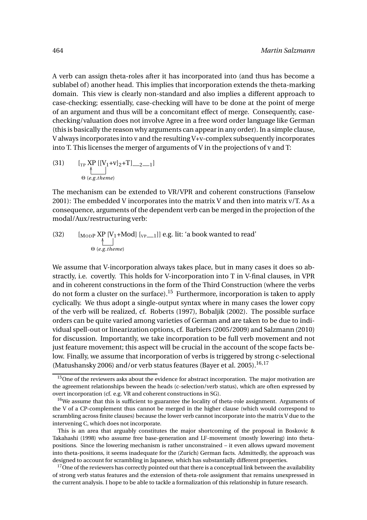A verb can assign theta-roles after it has incorporated into (and thus has become a sublabel of) another head. This implies that incorporation extends the theta-marking domain. This view is clearly non-standard and also implies a different approach to case-checking; essentially, case-checking will have to be done at the point of merge of an argument and thus will be a concomitant effect of merge. Consequently, casechecking/valuation does not involve Agree in a free word order language like German (this is basically the reason why arguments can appear in any order). In a simple clause, V always incorporates into v and the resulting V+v-complex subsequently incorporates into T. This licenses the merger of arguments of V in the projections of v and T:

(31) 
$$
\[ \text{Tr } \text{XP} \left[ [V_1 + v]_2 + T \right]_{2} = 1 \]
$$

$$
\oplus \{e.g. \text{ theme}\}\]
$$

The mechanism can be extended to VR/VPR and coherent constructions (Fanselow 2001): The embedded V incorporates into the matrix V and then into matrix v/T. As a consequence, arguments of the dependent verb can be merged in the projection of the modal/Aux/restructuring verb:

(32) 
$$
\begin{array}{ll}\n\text{[} & \text{[MODP } \text{XP} \text{ [V1+Mod] } \text{[} & \text{[} & \text{[VP1+Ind] } \text{] } \\
\text{[} & \text{[} & \text{[} & \text{[} & \text{[} & \text{[} & \text{[} & \text{[} & \text{[} & \text{[} & \text{[} & \text{[} & \text{[} & \text{[} & \text{[} & \text{[} & \text{[} & \text{[} & \text{[} & \text{[} & \text{[} & \text{[} & \text{[} & \text{[} & \text{[} & \text{[} & \text{[} & \text{[} & \text{[} & \text{[} & \text{[} & \text{[} & \text{[} & \text{[} & \text{[} & \text{[} & \text{[} & \text{[} & \text{[} & \text{[} & \text{[} & \text{[} & \text{[} & \text{[} & \text{[} & \text{[} & \text{[} & \text{[} & \text{[} & \text{[} & \text{[} & \text{[} & \text{[} & \text{[} & \text{[} & \text{[} & \text{[} & \text{[} & \text{[} & \text{[} & \text{[} & \text{[} & \text{[} & \text{[} & \text{[} & \text{[} & \text{[} & \text{[} & \text{[} & \text{[} & \text{[} & \text{[} & \text{[} & \text{[} & \text{[} & \text{[} & \text{[} & \text{[} & \text{[} & \text{[} & \text{[} & \text{[} & \text{[} & \text{[} & \text{[} & \text{[} & \text{[} & \text{[} & \text{[} & \text{[} & \text{[} & \text{[} & \text{[} & \text{[} & \text{[} & \text{[} & \text{[} & \text{[} & \text{[} & \text{[} & \text{[} & \text{[} & \text{[} & \text{[} & \text{[} & \text{[} & \text{[} & \text{[} & \text{[} & \text{[} & \text{[} & \text{[} & \text{[} & \text{[} & \text{[} &
$$

We assume that V-incorporation always takes place, but in many cases it does so abstractly, i.e. covertly. This holds for V-incorporation into T in V-final clauses, in VPR and in coherent constructions in the form of the Third Construction (where the verbs do not form a cluster on the surface).<sup>15</sup> Furthermore, incorporation is taken to apply cyclically. We thus adopt a single-output syntax where in many cases the lower copy of the verb will be realized, cf. Roberts (1997), Bobaljik (2002). The possible surface orders can be quite varied among varieties of German and are taken to be due to individual spell-out or linearization options, cf. Barbiers (2005/2009) and Salzmann (2010) for discussion. Importantly, we take incorporation to be full verb movement and not just feature movement; this aspect will be crucial in the account of the scope facts below. Finally, we assume that incorporation of verbs is triggered by strong c-selectional (Matushansky 2006) and/or verb status features (Bayer et al. 2005).<sup>16,17</sup>

<sup>&</sup>lt;sup>15</sup>One of the reviewers asks about the evidence for abstract incorporation. The major motivation are the agreement relationships beween the heads (c-selection/verb status), which are often expressed by overt incorporation (cf. e.g. VR and coherent constructions in SG).

 $16$ We assume that this is sufficient to guarantee the locality of theta-role assignment. Arguments of the V of a CP-complement thus cannot be merged in the higher clause (which would correspond to scrambling across finite clauses) because the lower verb cannot incorporate into the matrix V due to the intervening C, which does not incorporate.

This is an area that arguably constitutes the major shortcoming of the proposal in Boskovic & Takahashi (1998) who assume free base-generation and LF-movement (mostly lowering) into thetapositions. Since the lowering mechanism is rather unconstrained – it even allows upward movement into theta-positions, it seems inadequate for the (Zurich) German facts. Admittedly, the approach was designed to account for scrambling in Japanese, which has substantially different properties.

 $17$  One of the reviewers has correctly pointed out that there is a conceptual link between the availability of strong verb status features and the extension of theta-role assignment that remains unexpressed in the current analysis. I hope to be able to tackle a formalization of this relationship in future research.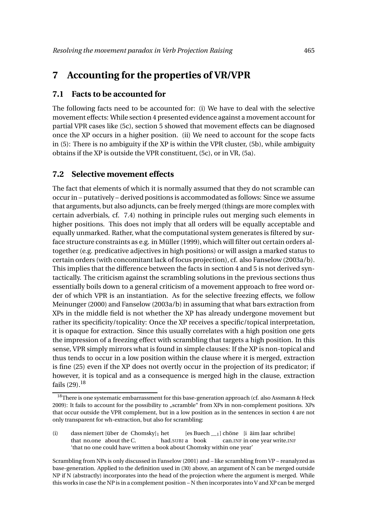### **7 Accounting for the properties of VR/VPR**

#### **7.1 Facts to be accounted for**

The following facts need to be accounted for: (i) We have to deal with the selective movement effects: While section 4 presented evidence against a movement account for partial VPR cases like (5c), section 5 showed that movement effects can be diagnosed once the XP occurs in a higher position. (ii) We need to account for the scope facts in (5): There is no ambiguity if the XP is within the VPR cluster, (5b), while ambiguity obtains if the XP is outside the VPR constituent, (5c), or in VR, (5a).

#### **7.2 Selective movement effects**

The fact that elements of which it is normally assumed that they do not scramble can occur in – putatively – derived positions is accommodated as follows: Since we assume that arguments, but also adjuncts, can be freely merged (things are more complex with certain adverbials, cf. 7.4) nothing in principle rules out merging such elements in higher positions. This does not imply that all orders will be equally acceptable and equally unmarked. Rather, what the computational system generates is filtered by surface structure constraints as e.g. in Müller (1999), which will filter out certain orders altogether (e.g. predicative adjectives in high positions) or will assign a marked status to certain orders (with concomitant lack of focus projection), cf. also Fanselow (2003a/b). This implies that the difference between the facts in section 4 and 5 is not derived syntactically. The criticism against the scrambling solutions in the previous sections thus essentially boils down to a general criticism of a movement approach to free word order of which VPR is an instantiation. As for the selective freezing effects, we follow Meinunger (2000) and Fanselow (2003a/b) in assuming that what bars extraction from XPs in the middle field is not whether the XP has already undergone movement but rather its specificity/topicality: Once the XP receives a specific/topical interpretation, it is opaque for extraction. Since this usually correlates with a high position one gets the impression of a freezing effect with scrambling that targets a high position. In this sense, VPR simply mirrors what is found in simple clauses: If the XP is non-topical and thus tends to occur in a low position within the clause where it is merged, extraction is fine (25) even if the XP does not overtly occur in the projection of its predicator; if however, it is topical and as a consequence is merged high in the clause, extraction fails  $(29).^{18}$ 

<sup>&</sup>lt;sup>18</sup>There is one systematic embarrassment for this base-generation approach (cf. also Assmann & Heck 2009): It fails to account for the possibility to "scramble" from XPs in non-complement positions. XPs that occur outside the VPR complement, but in a low position as in the sentences in section 4 are not only transparent for wh-extraction, but also for scrambling:

<sup>(</sup>i) dass niemert [über de Chomsky]<sup>1</sup> het that no.one about the C. had.SUBJ a book [es Buech \_\_1] chöne [i äim Jaar schriibe] can.INF in one year write.INF 'that no one could have written a book about Chomsky within one year'

Scrambling from NPs is only discussed in Fanselow (2001) and – like scrambling from VP – reanalyzed as base-generation. Applied to the definition used in (30) above, an argument of N can be merged outside NP if N (abstractly) incorporates into the head of the projection where the argument is merged. While this works in case the NP is in a complement position – N then incorporates into V and XP can be merged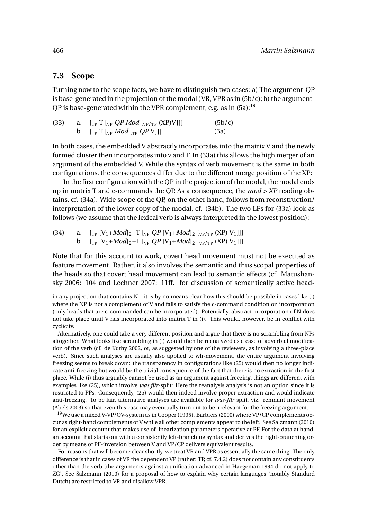#### **7.3 Scope**

Turning now to the scope facts, we have to distinguish two cases: a) The argument-QP is base-generated in the projection of the modal (VR, VPR as in  $(5b/c)$ ; b) the argument-QP is base-generated within the VPR complement, e.g. as in  $(5a)$ :<sup>19</sup>

| (33) | a. $\left[\begin{smallmatrix} 0 & \text{T} \end{smallmatrix} \right]$ $\left[\begin{smallmatrix} 0 & \text{T} \end{smallmatrix} \right]$ $\left[\begin{smallmatrix} 0 & \text{T} \end{smallmatrix} \right]$ $\left[\begin{smallmatrix} 0 & \text{T} \end{smallmatrix} \right]$ $\left[\begin{smallmatrix} 0 & \text{T} \end{smallmatrix} \right]$ | (5b/c) |
|------|---------------------------------------------------------------------------------------------------------------------------------------------------------------------------------------------------------------------------------------------------------------------------------------------------------------------------------------------------|--------|
|      | b. $\left[\begin{smallmatrix} 0 & \text{T} \end{smallmatrix}\right]$ $\left[\begin{smallmatrix} 0 & \text{T} \end{smallmatrix}\right]$ $\left[\begin{smallmatrix} 0 & \text{T} \end{smallmatrix}\right]$                                                                                                                                          | (5a)   |

In both cases, the embedded V abstractly incorporates into the matrix V and the newly formed cluster then incorporates into v and T. In (33a) this allows the high merger of an argument of the embedded V. While the syntax of verb movement is the same in both configurations, the consequences differ due to the different merge position of the XP:

In the first configuration with the QP in the projection of the modal, the modal ends up in matrix T and c-commands the QP. As a consequence, the *mod > XP* reading obtains, cf. (34a). Wide scope of the QP, on the other hand, follows from reconstruction/ interpretation of the lower copy of the modal, cf. (34b). The two LFs for (33a) look as follows (we assume that the lexical verb is always interpreted in the lowest position):

(34) a.  $\left[\begin{matrix} T_P \left[ \frac{V_T + Mod}{2} + T \right]_{VP} QP \left[ \frac{V_T + Mod}{2} \right]_{2} \left[ \frac{V_P}{TP} \left( \text{XP} \right) V_1 \right] \right] \end{matrix} \right]$ b.  $[\text{Tr} [\text{V}_1 + \text{Mod}]_2 + \text{T} [\text{V}_P QP[\text{V}_1 + \text{Mod}]_2 [\text{V}_P/\text{T}_P (XP) V_1]]]$ 

Note that for this account to work, covert head movement must not be executed as feature movement. Rather, it also involves the semantic and thus scopal properties of the heads so that covert head movement can lead to semantic effects (cf. Matushansky 2006: 104 and Lechner 2007: 11ff. for discussion of semantically active head-

Alternatively, one could take a very different position and argue that there is no scrambling from NPs altogether. What looks like scrambling in (i) would then be reanalyzed as a case of adverbial modification of the verb (cf. de Kuthy 2002, or, as suggested by one of the reviewers, as involving a three-place verb). Since such analyses are usually also applied to wh-movement, the entire argument involving freezing seems to break down: the transparency in configurations like (25) would then no longer indicate anti-freezing but would be the trivial consequence of the fact that there is no extraction in the first place. While (i) thus arguably cannot be used as an argument against freezing, things are different with examples like (25), which involve *was für*-split: Here the reanalysis analysis is not an option since it is restricted to PPs. Consequently, (25) would then indeed involve proper extraction and would indicate anti-freezing. To be fair, alternative analyses are available for *was-für* split, viz. remnant movement (Abels 2003) so that even this case may eventually turn out to be irrelevant for the freezing argument.

<sup>19</sup>We use a mixed V-VP/OV-system as in Cooper (1995), Barbiers (2000) where VP/CP complements occur as right-hand complements of V while all other complements appear to the left. See Salzmann (2010) for an explicit account that makes use of linearization parameters operative at PF. For the data at hand, an account that starts out with a consistently left-branching syntax and derives the right-branching order by means of PF-inversion between V and VP/CP delivers equivalent results.

For reasons that will become clear shortly, we treat VR and VPR as essentially the same thing. The only difference is that in cases of VR the dependent VP (rather: TP, cf. 7.4.2) does not contain any constituents other than the verb (the arguments against a unification advanced in Haegeman 1994 do not apply to ZG). See Salzmann (2010) for a proposal of how to explain why certain languages (notably Standard Dutch) are restricted to VR and disallow VPR.

in any projection that contains N – it is by no means clear how this should be possible in cases like (i) where the NP is not a complement of V and fails to satisfy the c-command condition on incorporation (only heads that are c-commanded can be incorporated). Potentially, abstract incorporation of N does not take place until V has incorporated into matrix T in (i). This would, however, be in conflict with cyclicity.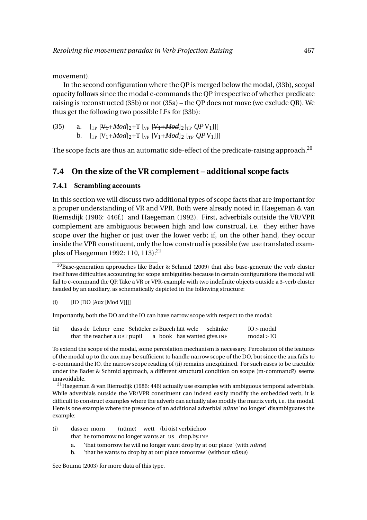movement).

In the second configuration where the QP is merged below the modal, (33b), scopal opacity follows since the modal c-commands the QP irrespective of whether predicate raising is reconstructed (35b) or not (35a) – the QP does not move (we exclude QR). We thus get the following two possible LFs for (33b):

(35) a.  $\left[\begin{matrix} T_P & W_T + Mod \end{matrix}\right]_2 + T \left[\begin{matrix} V_T & W_T + Mod \end{matrix}\right]_2 \left[\begin{matrix} T_P & QPV_1 \end{matrix}\right]_1$ b.  $[r_P \left[ \frac{V_1 + Mod}{2} \right]_2 + T \left[ \frac{V_P}{V_1 + Mod} \right]_2 \left[ \frac{V_P}{2} \left[ \frac{QPV_1}{2} \right] \right]$ 

The scope facts are thus an automatic side-effect of the predicate-raising approach.<sup>20</sup>

#### **7.4 On the size of the VR complement – additional scope facts**

#### **7.4.1 Scrambling accounts**

In this section we will discuss two additional types of scope facts that are important for a proper understanding of VR and VPR. Both were already noted in Haegeman & van Riemsdijk (1986: 446f.) and Haegeman (1992). First, adverbials outside the VR/VPR complement are ambiguous between high and low construal, i.e. they either have scope over the higher or just over the lower verb; if, on the other hand, they occur inside the VPR constituent, only the low construal is possible (we use translated examples of Haegeman 1992: 110, 113):<sup>21</sup>

Importantly, both the DO and the IO can have narrow scope with respect to the modal:

| (ii) |                              |  |  | dass de Lehrer eme Schüeler es Buech hät wele schänke | IO > modal                 |
|------|------------------------------|--|--|-------------------------------------------------------|----------------------------|
|      | that the teacher a.DAT pupil |  |  | a book has wanted give. INF                           | $\text{modal} > \text{IO}$ |

To extend the scope of the modal, some percolation mechanism is necessary. Percolation of the features of the modal up to the aux may be sufficient to handle narrow scope of the DO, but since the aux fails to c-command the IO, the narrow scope reading of (ii) remains unexplained. For such cases to be tractable under the Bader & Schmid approach, a different structural condition on scope (m-command?) seems unavoidable.

<sup>21</sup> Haegeman & van Riemsdijk (1986: 446) actually use examples with ambiguous temporal adverbials. While adverbials outside the VR/VPR constituent can indeed easily modify the embedded verb, it is difficult to construct examples where the adverb can actually also modify the matrix verb, i.e. the modal. Here is one example where the presence of an additional adverbial *nüme* 'no longer' disambiguates the example:

- (i) dass er morn that he tomorrow no.longer wants at us drop.by.INF (nüme) wett (bi öis) verbiichoo
	- a. 'that tomorrow he will no longer want drop by at our place' (with *nüme*)
	- b. 'that he wants to drop by at our place tomorrow' (without *nüme*)

See Bouma (2003) for more data of this type.

 $^{20}$ Base-generation approaches like Bader & Schmid (2009) that also base-generate the verb cluster itself have difficulties accounting for scope ambiguities because in certain configurations the modal will fail to c-command the QP. Take a VR or VPR-example with two indefinite objects outside a 3-verb cluster headed by an auxiliary, as schematically depicted in the following structure:

 $\begin{bmatrix} 1 \end{bmatrix}$   $\begin{bmatrix} 10 \end{bmatrix}$   $\begin{bmatrix} 10 \end{bmatrix}$   $\begin{bmatrix} 10 \end{bmatrix}$   $\begin{bmatrix} 10 \end{bmatrix}$   $\begin{bmatrix} 10 \end{bmatrix}$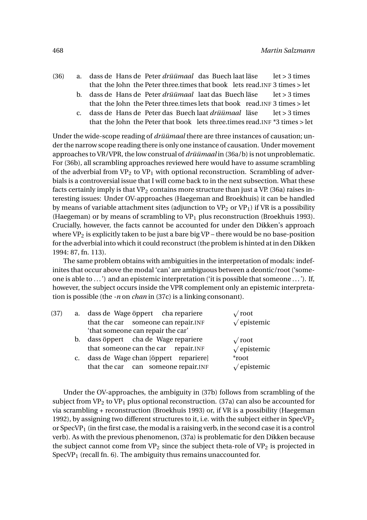- (36) a. dass de Hans de Peter *drüümaal* das Buech laat läse that the John the Peter three.times that book lets read.INF 3 times > let let > 3 times
	- b. dass de Hans de Peter *drüümaal* laat das Buech läse that the John the Peter three.times lets that book read.INF 3 times > let let > 3 times
	- c. dass de Hans de Peter das Buech laat *drüümaal* läse that the John the Peter that book lets three.times read.INF \*3 times > let  $let > 3 times$

Under the wide-scope reading of *drüümaal* there are three instances of causation; under the narrow scope reading there is only one instance of causation. Under movement approaches to VR/VPR, the low construal of *drüümaal* in (36a/b) is not unproblematic. For (36b), all scrambling approaches reviewed here would have to assume scrambling of the adverbial from  $VP_2$  to  $VP_1$  with optional reconstruction. Scrambling of adverbials is a controversial issue that I will come back to in the next subsection. What these facts certainly imply is that  $VP_2$  contains more structure than just a VP. (36a) raises interesting issues: Under OV-approaches (Haegeman and Broekhuis) it can be handled by means of variable attachment sites (adjunction to  $VP_2$  or  $VP_1$ ) if VR is a possibility (Haegeman) or by means of scrambling to  $VP_1$  plus reconstruction (Broekhuis 1993). Crucially, however, the facts cannot be accounted for under den Dikken's approach where  $VP_2$  is explicitly taken to be just a bare big  $VP$  – there would be no base-position for the adverbial into which it could reconstruct (the problem is hinted at in den Dikken 1994: 87, fn. 113).

The same problem obtains with ambiguities in the interpretation of modals: indefinites that occur above the modal 'can' are ambiguous between a deontic/root ('someone is able to ...') and an epistemic interpretation ('it is possible that someone ...'). If, however, the subject occurs inside the VPR complement only an epistemic interpretation is possible (the *-n* on *chan* in (37c) is a linking consonant).

| (37) | a. dass de Wage öppert cha repariere    | $\sqrt{\mathrm{root}}$    |
|------|-----------------------------------------|---------------------------|
|      | that the car someone can repair. INF    | $\sqrt{\text{epistemic}}$ |
|      | 'that someone can repair the car'       |                           |
|      | b. dass öppert cha de Wage repariere    | $\sqrt{\text{root}}$      |
|      | that someone can the car repair. INF    | $\sqrt{\text{epistemic}}$ |
|      | c. dass de Wage chan [öppert repariere] | *root                     |
|      | that the car can someone repair. INF    | $\sqrt{\text{epistemic}}$ |
|      |                                         |                           |

Under the OV-approaches, the ambiguity in (37b) follows from scrambling of the subject from  $VP_2$  to  $VP_1$  plus optional reconstruction. (37a) can also be accounted for via scrambling + reconstruction (Broekhuis 1993) or, if VR is a possibility (Haegeman 1992), by assigning two different structures to it, i.e. with the subject either in SpecVP<sub>2</sub> or SpecVP<sub>1</sub> (in the first case, the modal is a raising verb, in the second case it is a control verb). As with the previous phenomenon, (37a) is problematic for den Dikken because the subject cannot come from  $VP_2$  since the subject theta-role of  $VP_2$  is projected in  $SpecVP<sub>1</sub>$  (recall fn. 6). The ambiguity thus remains unaccounted for.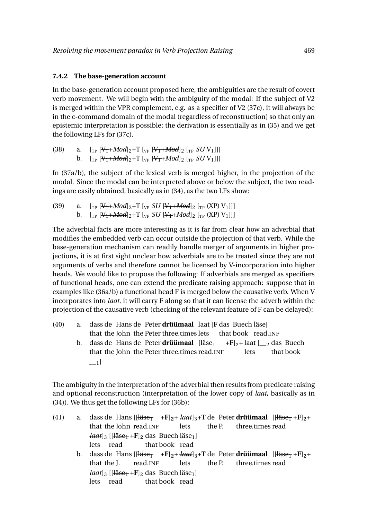#### **7.4.2 The base-generation account**

In the base-generation account proposed here, the ambiguities are the result of covert verb movement. We will begin with the ambiguity of the modal: If the subject of V2 is merged within the VPR complement, e.g. as a specifier of V2 (37c), it will always be in the c-command domain of the modal (regardless of reconstruction) so that only an epistemic interpretation is possible; the derivation is essentially as in (35) and we get the following LFs for (37c).

| (38) | a. $\left[\begin{smallmatrix} 0 & 0 \\ 0 & 1 \end{smallmatrix}\right]$ $\left[\begin{smallmatrix} 0 & 0 \\ 0 & 1 \end{smallmatrix}\right]$ $\left[\begin{smallmatrix} 0 & 0 \\ 0 & 1 \end{smallmatrix}\right]$ $\left[\begin{smallmatrix} 0 & 0 \\ 0 & 1 \end{smallmatrix}\right]$ $\left[\begin{smallmatrix} 0 & 0 \\ 0 & 1 \end{smallmatrix}\right]$ $\left[\begin{smallmatrix} 0 & 0 \\ 0 & 1 \end{smallmatrix}\right]$                                                                                     |
|------|----------------------------------------------------------------------------------------------------------------------------------------------------------------------------------------------------------------------------------------------------------------------------------------------------------------------------------------------------------------------------------------------------------------------------------------------------------------------------------------------------------------|
|      | b. $\left[\begin{matrix} \begin{bmatrix} V_{\text{T}} + \text{Mod} \end{bmatrix} \begin{bmatrix} 2 + T \end{bmatrix} \begin{bmatrix} V_{\text{P}} \\ V_{\text{P}} \end{bmatrix} + M \begin{bmatrix} N_{\text{T}} + M \begin{bmatrix} N_{\text{T}} \\ N_{\text{T}} \end{bmatrix} \begin{bmatrix} 2 \\ 2 \end{bmatrix} \begin{bmatrix} 2 \\ 2 \end{bmatrix} \begin{bmatrix} 2 \\ 2 \end{bmatrix} \begin{bmatrix} 2 \\ 2 \end{bmatrix} \begin{bmatrix} 2 \\ 2 \end{bmatrix} \begin{bmatrix} 2 \\ 2 \end{bmatrix}$ |

In (37a/b), the subject of the lexical verb is merged higher, in the projection of the modal. Since the modal can be interpreted above or below the subject, the two readings are easily obtained, basically as in (34), as the two LFs show:

(39) a.  $\left[\begin{matrix} T_P \left[ \frac{V_1 + Mod}{2} + T \left[ \begin{matrix} V_P \text{ } SU \left[ \frac{V_1 + Mod}{2} \right] \end{matrix} \right] \right] + Mod \right] \right]$ b.  $\left[\begin{array}{cc} T_{\text{PP}} & \text{[V}_{1} + \text{Mod}\end{array}\right]_{2} + T \left[\begin{array}{cc} T_{\text{PP}} & \text{[V}_{1} + \text{Mod}\end{array}\right]_{2} \left[\begin{array}{cc} T_{\text{PP}} & \text{(XP)} & \text{V}_{1}\end{array}\right]$ 

The adverbial facts are more interesting as it is far from clear how an adverbial that modifies the embedded verb can occur outside the projection of that verb. While the base-generation mechanism can readily handle merger of arguments in higher projections, it is at first sight unclear how adverbials are to be treated since they are not arguments of verbs and therefore cannot be licensed by V-incorporation into higher heads. We would like to propose the following: If adverbials are merged as specifiers of functional heads, one can extend the predicate raising approach: suppose that in examples like (36a/b) a functional head F is merged below the causative verb. When V incorporates into *laat*, it will carry F along so that it can license the adverb within the projection of the causative verb (checking of the relevant feature of F can be delayed):

(40) a. dass de Hans de Peter **drüümaal** laat [**F** das Buech läse] that the John the Peter three.times lets that book read.INF

> b. dass de Hans de Peter **drüümaal** [läse<sub>1</sub> that the John the Peter three.times read.INF +**F**]2+ laat [\_\_<sup>2</sup> das Buech lets that book  $\lceil$  1]

The ambiguity in the interpretation of the adverbial then results from predicate raising and optional reconstruction (interpretation of the lower copy of *laat*, basically as in (34)). We thus get the following LFs for (36b):

(41) a. dass de Hans [[<del>läse<sub>1</sub> + F</del>]<sub>2</sub>+ *laat*]<sub>3</sub>+T de Peter **drüümaal** [[<del>läse<sub>1</sub></del> + F]<sub>2</sub>+ that the John read.INF lets the P. three.times read  $\frac{leaf_3}{[Hzse_1+F]_2}$  das Buech läse<sub>1</sub>] lets read that book read b. dass de Hans [[<del>läse<sub>1</sub> +F</del>]<sub>2</sub>+ *łaat*]<sub>3</sub>+T de Peter **drüümaal** [[<del>läse<sub>1</sub></del> +F]<sub>2</sub>+ that the J. read.INF lets the P. three.times read *laat*]<sub>3</sub> [[<del>läse<sub>1</sub></del> +**F**]<sub>2</sub> das Buech läse<sub>1</sub>] lets read that book read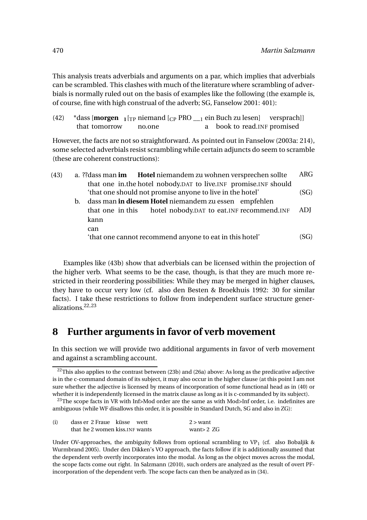This analysis treats adverbials and arguments on a par, which implies that adverbials can be scrambled. This clashes with much of the literature where scrambling of adverbials is normally ruled out on the basis of examples like the following (the example is, of course, fine with high construal of the adverb; SG, Fanselow 2001: 401):

| (42) |               | *dass [ <b>morgen</b> $_1$ [ <sub>TP</sub> niemand [ <sub>CP</sub> PRO ____] ein Buch zu lesen] versprach]] |                              |  |
|------|---------------|-------------------------------------------------------------------------------------------------------------|------------------------------|--|
|      | that tomorrow | no.one                                                                                                      | a book to read. INF promised |  |

However, the facts are not so straightforward. As pointed out in Fanselow (2003a: 214), some selected adverbials resist scrambling while certain adjuncts do seem to scramble (these are coherent constructions):

| (43) |    |                                                           | a. ?? dass man im Hotel niemandem zu wohnen versprechen sollte    | <b>ARG</b> |
|------|----|-----------------------------------------------------------|-------------------------------------------------------------------|------------|
|      |    |                                                           | that one in the hotel nobody. DAT to live INF promise. INF should |            |
|      |    | 'that one should not promise anyone to live in the hotel' | (SG)                                                              |            |
|      | b. |                                                           | dass man in diesem Hotel niemandem zu essen empfehlen             |            |
|      |    | that one in this                                          | hotel nobody.DAT to eat.INF recommend.INF                         | ADJ.       |
|      |    | kann                                                      |                                                                   |            |
|      |    | can                                                       |                                                                   |            |
|      |    |                                                           | 'that one cannot recommend anyone to eat in this hotel'           | (SG)       |
|      |    |                                                           |                                                                   |            |

Examples like (43b) show that adverbials can be licensed within the projection of the higher verb. What seems to be the case, though, is that they are much more restricted in their reordering possibilities: While they may be merged in higher clauses, they have to occur very low (cf. also den Besten & Broekhuis 1992: 30 for similar facts). I take these restrictions to follow from independent surface structure generalizations.22,23

### **8 Further arguments in favor of verb movement**

In this section we will provide two additional arguments in favor of verb movement and against a scrambling account.

<sup>&</sup>lt;sup>23</sup>The scope facts in VR with Inf>Mod order are the same as with Mod>Inf order, i.e. indefinites are ambiguous (while WF disallows this order, it is possible in Standard Dutch, SG and also in ZG):

| (i) | dass er 2 Fraue küsse wett      |  | $2 >$ want    |
|-----|---------------------------------|--|---------------|
|     | that he 2 women kiss. INF wants |  | want $> 2$ ZG |

Under OV-approaches, the ambiguity follows from optional scrambling to VP<sub>1</sub> (cf. also Bobaljik & Wurmbrand 2005). Under den Dikken's VO approach, the facts follow if it is additionally assumed that the dependent verb overtly incorporates into the modal. As long as the object moves across the modal, the scope facts come out right. In Salzmann (2010), such orders are analyzed as the result of overt PFincorporation of the dependent verb. The scope facts can then be analyzed as in (34).

 $\frac{22}{2}$ This also applies to the contrast between (23b) and (26a) above: As long as the predicative adjective is in the c-command domain of its subject, it may also occur in the higher clause (at this point I am not sure whether the adjective is licensed by means of incorporation of some functional head as in (40) or whether it is independently licensed in the matrix clause as long as it is c-commanded by its subject).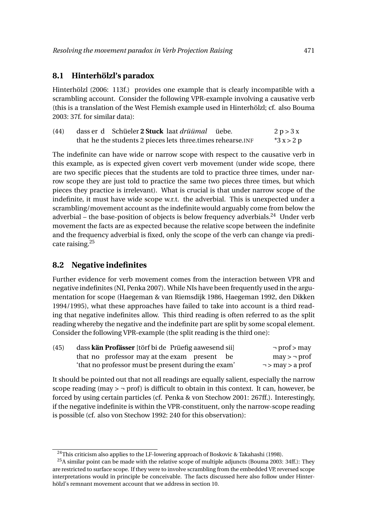#### **8.1 Hinterhölzl's paradox**

Hinterhölzl (2006: 113f.) provides one example that is clearly incompatible with a scrambling account. Consider the following VPR-example involving a causative verb (this is a translation of the West Flemish example used in Hinterhölzl; cf. also Bouma 2003: 37f. for similar data):

| (44) | dass er d Schüeler 2 Stuck laat drüümal üebe.                | 2 p > 3 x  |
|------|--------------------------------------------------------------|------------|
|      | that he the students 2 pieces lets three times rehearse. INF | $*3x > 2p$ |

The indefinite can have wide or narrow scope with respect to the causative verb in this example, as is expected given covert verb movement (under wide scope, there are two specific pieces that the students are told to practice three times, under narrow scope they are just told to practice the same two pieces three times, but which pieces they practice is irrelevant). What is crucial is that under narrow scope of the indefinite, it must have wide scope w.r.t. the adverbial. This is unexpected under a scrambling/movement account as the indefinite would arguably come from below the adverbial – the base-position of objects is below frequency adverbials.<sup>24</sup> Under verb movement the facts are as expected because the relative scope between the indefinite and the frequency adverbial is fixed, only the scope of the verb can change via predicate raising. $25$ 

### **8.2 Negative indefinites**

Further evidence for verb movement comes from the interaction between VPR and negative indefinites (NI, Penka 2007). While NIs have been frequently used in the argumentation for scope (Haegeman & van Riemsdijk 1986, Haegeman 1992, den Dikken 1994/1995), what these approaches have failed to take into account is a third reading that negative indefinites allow. This third reading is often referred to as the split reading whereby the negative and the indefinite part are split by some scopal element. Consider the following VPR-example (the split reading is the third one):

| (45) | dass kän Profässer [törf bi de Prüefig aawesend sii] | $\neg$ prof > may     |  |
|------|------------------------------------------------------|-----------------------|--|
|      | that no professor may at the exam present be         | $may > \neg prof$     |  |
|      | 'that no professor must be present during the exam'  | $\neg$ > may > a prof |  |

It should be pointed out that not all readings are equally salient, especially the narrow scope reading (may  $> \neg$  prof) is difficult to obtain in this context. It can, however, be forced by using certain particles (cf. Penka & von Stechow 2001: 267ff.). Interestingly, if the negative indefinite is within the VPR-constituent, only the narrow-scope reading is possible (cf. also von Stechow 1992: 240 for this observation):

<sup>&</sup>lt;sup>24</sup>This criticism also applies to the LF-lowering approach of Boskovic & Takahashi (1998).

 $^{25}$ A similar point can be made with the relative scope of multiple adjuncts (Bouma 2003: 34ff.): They are restricted to surface scope. If they were to involve scrambling from the embedded VP, reversed scope interpretations would in principle be conceivable. The facts discussed here also follow under Hinterhölzl's remnant movement account that we address in section 10.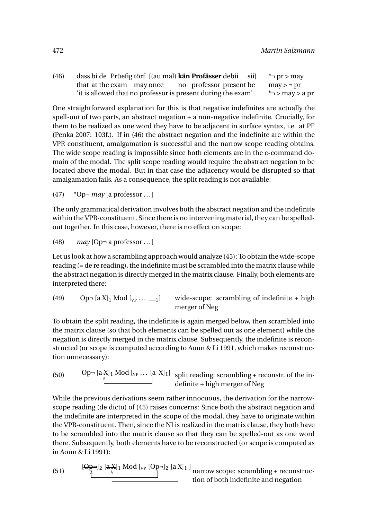(46) dass bi de Prüefig törf [(au mal) **kän Profässer** debii that at the exam may once no professor present be sii]  $\tau$  pr > may  $may$  >  $\neg$  pr 'it is allowed that no professor is present during the exam' \*¬ > may > a pr

One straightforward explanation for this is that negative indefinites are actually the spell-out of two parts, an abstract negation + a non-negative indefinite. Crucially, for them to be realized as one word they have to be adjacent in surface syntax, i.e. at PF (Penka 2007: 103f.). If in (46) the abstract negation and the indefinite are within the VPR constituent, amalgamation is successful and the narrow scope reading obtains. The wide scope reading is impossible since both elements are in the c-command domain of the modal. The split scope reading would require the abstract negation to be located above the modal. But in that case the adjacency would be disrupted so that amalgamation fails. As a consequence, the split reading is not available:

(47) \*Op¬ *may* [a professor ... ]

The only grammatical derivation involves both the abstract negation and the indefinite within the VPR-constituent. Since there is no intervening material, they can be spelledout together. In this case, however, there is no effect on scope:

(48) *may* [Op¬ a professor ... ]

Let us look at how a scrambling approach would analyze (45): To obtain the wide-scope reading (= de re reading), the indefinite must be scrambled into the matrix clause while the abstract negation is directly merged in the matrix clause. Finally, both elements are interpreted there:

(49) 
$$
Op\neg [a X]_1 \mod [v_P \cdots \_1]
$$
 wide-scope: scrambling of indefinite + high merger of Neg

To obtain the split reading, the indefinite is again merged below, then scrambled into the matrix clause (so that both elements can be spelled out as one element) while the negation is directly merged in the matrix clause. Subsequently, the indefinite is reconstructed (or scope is computed according to Aoun & Li 1991, which makes reconstruction unnecessary):

(50) 
$$
0p = [a X]_1 \text{ Mod } [v_P \dots [a X]_1] \text{ split reading: scrambling + reconstruct. of the in-definite + high merger of Neg
$$

While the previous derivations seem rather innocuous, the derivation for the narrowscope reading (de dicto) of (45) raises concerns: Since both the abstract negation and the indefinite are interpreted in the scope of the modal, they have to originate within the VPR-constituent. Then, since the NI is realized in the matrix clause, they both have to be scrambled into the matrix clause so that they can be spelled-out as one word there. Subsequently, both elements have to be reconstructed (or scope is computed as in Aoun & Li 1991):

(51) 
$$
\begin{array}{c}\n[\Theta_{\mathbf{P}}^{-1}]_2 \left[\mathbf{a} \cdot \mathbf{X}\right]_1 \text{ Mod } [v_P \left[Op^{-1}\right]_2 \left[a \cdot \mathbf{X}\right]_1] \\
\hline\n\end{array}\n\text{harrow scope: scrambling + reconstruction of both indefinite and negation}
$$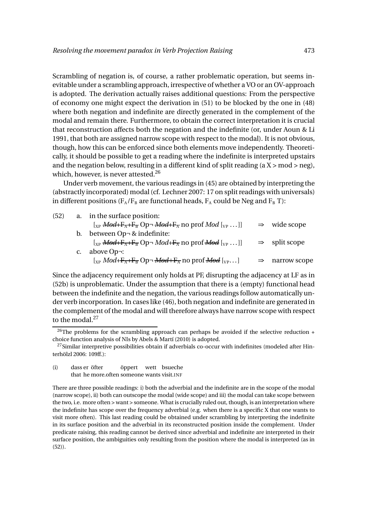Scrambling of negation is, of course, a rather problematic operation, but seems inevitable under a scrambling approach, irrespective of whether a VO or an OV-approach is adopted. The derivation actually raises additional questions: From the perspective of economy one might expect the derivation in (51) to be blocked by the one in (48) where both negation and indefinite are directly generated in the complement of the modal and remain there. Furthermore, to obtain the correct interpretation it is crucial that reconstruction affects both the negation and the indefinite (or, under Aoun & Li 1991, that both are assigned narrow scope with respect to the modal). It is not obvious, though, how this can be enforced since both elements move independently. Theoretically, it should be possible to get a reading where the indefinite is interpreted upstairs and the negation below, resulting in a different kind of split reading  $(a X > mod > neg)$ , which, however, is never attested.<sup>26</sup>

Under verb movement, the various readings in (45) are obtained by interpreting the (abstractly incorporated) modal (cf. Lechner 2007: 17 on split readings with universals) in different positions ( $F_A/F_B$  are functional heads,  $F_A$  could be Neg and  $F_B$  T):

| (52) |                | a. in the surface position:                                                                                                                                                                                                                                                                                                   |                           |
|------|----------------|-------------------------------------------------------------------------------------------------------------------------------------------------------------------------------------------------------------------------------------------------------------------------------------------------------------------------------|---------------------------|
|      |                | $[x_P \text{Mod} + F_A + F_B \text{Op} \rightarrow \text{Mod} + F_A \text{no prof } \text{Mod } [y_P \dots]]$                                                                                                                                                                                                                 | $\Rightarrow$ wide scope  |
|      | $\mathbf{b}$ . | between Op- & indefinite:                                                                                                                                                                                                                                                                                                     |                           |
|      |                | $[x_P \text{Mod} + F_A + F_B \text{Op} \neg \text{Mod} + F_A \text{no prof} \text{Mod } [y_P \dots]]$                                                                                                                                                                                                                         | $\Rightarrow$ split scope |
|      | $C_{\star}$    | above Op¬:                                                                                                                                                                                                                                                                                                                    |                           |
|      |                | $\left[\begin{smallmatrix} \chi_{\rm P} \end{smallmatrix} \right]$ Mod+ $\overline{\text{F}_{\rm A}}$ + $\overline{\text{F}_{\rm B}}$ Op $\neg$ <del>Mod</del> $\left[\begin{smallmatrix} \chi_{\rm P} \end{smallmatrix} \right]$ no prof <del>Mod</del> $\left[\begin{smallmatrix} \chi_{\rm P} \end{smallmatrix} \right]$ . | narrow scope              |
|      |                |                                                                                                                                                                                                                                                                                                                               |                           |

Since the adjacency requirement only holds at PF, disrupting the adjacency at LF as in (52b) is unproblematic. Under the assumption that there is a (empty) functional head between the indefinite and the negation, the various readings follow automatically under verb incorporation. In cases like (46), both negation and indefinite are generated in the complement of the modal and will therefore always have narrow scope with respect to the modal.<sup>27</sup>

There are three possible readings: i) both the adverbial and the indefinite are in the scope of the modal (narrow scope), ii) both can outscope the modal (wide scope) and iii) the modal can take scope between the two, i.e. more often > want > someone. What is crucially ruled out, though, is an interpretation where the indefinite has scope over the frequency adverbial (e.g. when there is a specific X that one wants to visit more often). This last reading could be obtained under scrambling by interpreting the indefinite in its surface position and the adverbial in its reconstructed position inside the complement. Under predicate raising, this reading cannot be derived since adverbial and indefinite are interpreted in their surface position, the ambiguities only resulting from the position where the modal is interpreted (as in (52)).

<sup>&</sup>lt;sup>26</sup>The problems for the scrambling approach can perhaps be avoided if the selective reduction + choice function analysis of NIs by Abels & Martí (2010) is adopted.

<sup>&</sup>lt;sup>27</sup>Similar interpretive possibilities obtain if adverbials co-occur with indefinites (modeled after Hinterhölzl 2006: 109ff.):

<sup>(</sup>i) dass er öfter that he more.often someone wants visit.INF öppert wett bsueche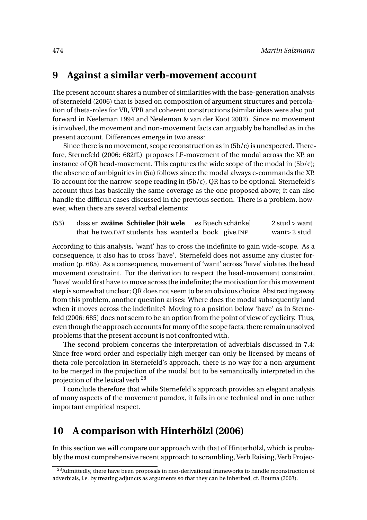### **9 Against a similar verb-movement account**

The present account shares a number of similarities with the base-generation analysis of Sternefeld (2006) that is based on composition of argument structures and percolation of theta-roles for VR, VPR and coherent constructions (similar ideas were also put forward in Neeleman 1994 and Neeleman & van der Koot 2002). Since no movement is involved, the movement and non-movement facts can arguably be handled as in the present account. Differences emerge in two areas:

Since there is no movement, scope reconstruction as in  $(5b/c)$  is unexpected. Therefore, Sternefeld (2006: 682ff.) proposes LF-movement of the modal across the XP, an instance of QR head-movement. This captures the wide scope of the modal in (5b/c); the absence of ambiguities in (5a) follows since the modal always c-commands the XP. To account for the narrow-scope reading in (5b/c), QR has to be optional. Sternefeld's account thus has basically the same coverage as the one proposed above; it can also handle the difficult cases discussed in the previous section. There is a problem, however, when there are several verbal elements:

(53) dass er **zwäine Schüeler** [**hät wele** that he two.DAT students has wanted a book give.INF es Buech schänke]  $2$  stud  $>$  want want> 2 stud

According to this analysis, 'want' has to cross the indefinite to gain wide-scope. As a consequence, it also has to cross 'have'. Sternefeld does not assume any cluster formation (p. 685). As a consequence, movement of 'want' across 'have' violates the head movement constraint. For the derivation to respect the head-movement constraint, 'have' would first have to move across the indefinite; the motivation for this movement step is somewhat unclear; QR does not seem to be an obvious choice. Abstracting away from this problem, another question arises: Where does the modal subsequently land when it moves across the indefinite? Moving to a position below 'have' as in Sternefeld (2006: 685) does not seem to be an option from the point of view of cyclicity. Thus, even though the approach accounts for many of the scope facts, there remain unsolved problems that the present account is not confronted with.

The second problem concerns the interpretation of adverbials discussed in 7.4: Since free word order and especially high merger can only be licensed by means of theta-role percolation in Sternefeld's approach, there is no way for a non-argument to be merged in the projection of the modal but to be semantically interpreted in the projection of the lexical verb.<sup>28</sup>

I conclude therefore that while Sternefeld's approach provides an elegant analysis of many aspects of the movement paradox, it fails in one technical and in one rather important empirical respect.

### **10 A comparison with Hinterhölzl (2006)**

In this section we will compare our approach with that of Hinterhölzl, which is probably the most comprehensive recent approach to scrambling, Verb Raising, Verb Projec-

<sup>&</sup>lt;sup>28</sup>Admittedly, there have been proposals in non-derivational frameworks to handle reconstruction of adverbials, i.e. by treating adjuncts as arguments so that they can be inherited, cf. Bouma (2003).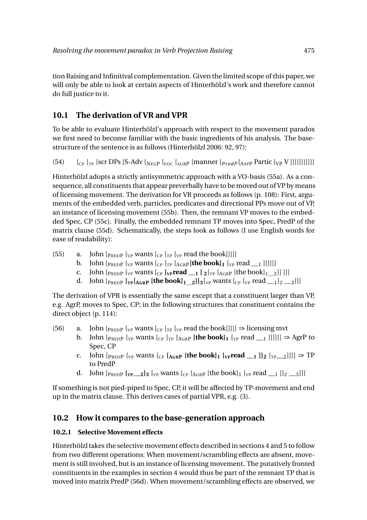tion Raising and Infinitival complementation. Given the limited scope of this paper, we will only be able to look at certain aspects of Hinterhölzl's work and therefore cannot do full justice to it.

### **10.1 The derivation of VR and VPR**

To be able to evaluate Hinterhölzl's approach with respect to the movement paradox we first need to become familiar with the basic ingredients of his analysis. The basestructure of the sentence is as follows (Hinterhölzl 2006: 92, 97):

(54)  $\left[\begin{array}{cc} \begin{bmatrix}C_P & \begin{bmatrix}T_P & \begin{bmatrix}S_C & \begin{bmatrix}S-Ad_V & \begin{bmatrix}N_E & \begin{bmatrix}S_C & \begin{bmatrix}A_G & R_P & \end{bmatrix}R_R & \begin{bmatrix}B_P & \begin{bmatrix}B_G & \begin{bmatrix}S_P & \end{bmatrix}R_R & \begin{bmatrix}S_P & \end{bmatrix}R_R & \begin{bmatrix}S_P & \end{bmatrix}R_R & \begin{bmatrix}S_P & \end{bmatrix}R_R & \begin{bmatrix}S_P & \begin{bmatrix}S_P & \begin{bmatrix}S_P & \end{bmatrix}R_R & \begin{$ 

Hinterhölzl adopts a strictly antisymmetric approach with a VO-basis (55a). As a consequence, all constituents that appear preverbally have to be moved out of VP by means of licensing movement. The derivation for VR proceeds as follows (p. 108): First, arguments of the embedded verb, particles, predicates and directional PPs move out of VP, an instance of licensing movement (55b). Then, the remnant VP moves to the embedded Spec, CP (55c). Finally, the embedded remnant TP moves into Spec, PredP of the matrix clause (55d). Schematically, the steps look as follows (I use English words for ease of readability):

- (55) a. John  $\left[$   $\right]$   $\left[$   $\right]$   $\left[$   $\right]$   $\left[$   $\right]$   $\left[$   $\left[$   $\right]$   $\left[$   $\right]$   $\left[$   $\left[$   $\right]$   $\left[$   $\left[$   $\right]$   $\left[$   $\left[$   $\left[$   $\left[$   $\left[$   $\left[$   $\left[$   $\left[$   $\left[$   $\left[$   $\left[$   $\left[ \left[ \nabla \right] \right] \right] \right] \right] \right$ 
	- b. John  $\left[$ <sub>PRED</sub> $_{P}$   $\left[$ <sub>VP</sub> wants  $\left[$ <sub>CP</sub>  $\left[$ <sub>TP</sub>  $\left[$ <sub>AGR</sub> $\right]$ **(the book** $\left[$ **1** $\right]$ <sub>1</sub> $\left[$ <sub>VP</sub> read  $\left[$ <sub>1</sub> $\right]$ <sup>1</sup>]]]]]
	- c. John  $\left[ \frac{\text{p}_{\text{REDP}}}{\text{p}_{\text{EDP}}} \right]$  [ $\text{v}_{\text{P}}$  **wants**  $\left[ \frac{\text{p}_{\text{P}}}{\text{p}_{\text{P}}} \left[ \frac{\text{p}_{\text{P}}}{\text{p}_{\text{GRP}}} \left[ \frac{\text{p}_{\text{R}}}{\text{p}_{\text{P}}} \left[ \frac{\text{p}_{\text{R}}}{\text{p}_{\text{P}}} \left[ \frac{\text{p}_{\text{R}}}{\text{p}_{\text{P}}} \left[ \frac{\text{p}_{\text{R}}}{\text{p}_{\text{P$
	- d. John  $\left[\text{p}_{\text{REDP}}\right]\left[\text{p}_{\text{I}}\left[\text{p}_{\text{GRP}}\right]\right]$  **[** $\text{p}_{\text{I}}\left[\text{p}_{\text{I}}\right]\right]$   $\left[\text{p}_{\text{I}}\left[\text{p}_{\text{I}}\right]\right]$   $\left[\text{p}_{\text{I}}\left[\text{p}_{\text{I}}\right]\right]$   $\left[\text{p}_{\text{I}}\left[\text{p}_{\text{I}}\right]\right]$

The derivation of VPR is essentially the same except that a constituent larger than VP, e.g. AgrP, moves to Spec, CP; in the following structures that constituent contains the direct object (p. 114):

- (56) a. John  $\lbrack_{\text{PREDP}}\rbrack_{\text{VP}}$  wants  $\lbrack_{\text{CP}}\rbrack_{\text{TP}}$  [<sub>VP</sub> read the book]]]]]  $\Rightarrow$  licensing mvt
	- b. John  $[p_{REDP}$   $[y_P$  wants  $[c_P$   $[r_P$   $[A_{GRP}]$  **[the book]1**  $[y_P$  read \_\_1 ]]]]]]  $\Rightarrow$  AgrP to Spec, CP
	- c. John  $\left[\text{p}_{\text{REDP}}\right]_{\text{VP}}$  wants  $\left[\text{p}_{\text{RGP}}\right]_{\text{GRP}}$  [the book]<sub>1</sub>  $\left[\text{p}_{\text{P}}\text{read}\right]_{\text{P}}$ ]]  $\left[\text{p}_{\text{P}}\right]_{\text{2}}$ ]]]]  $\Rightarrow$  TP to PredP
	- d. John  $[p_{REDP} [r_{P-2}]_3 [v_P \text{ wants } [c_P [A_{GRP} [the book]_1 [v_P \text{ read } -1]]_2 \_3]]]$

If something is not pied-piped to Spec, CP, it will be affected by TP-movement and end up in the matrix clause. This derives cases of partial VPR, e.g. (3).

### **10.2 How it compares to the base-generation approach**

#### **10.2.1 Selective Movement effects**

Hinterhölzl takes the selective movement effects described in sections 4 and 5 to follow from two different operations: When movement/scrambling effects are absent, movement is still involved, but is an instance of licensing movement. The putatively fronted constituents in the examples in section 4 would thus be part of the remnant TP that is moved into matrix PredP (56d). When movement/scrambling effects are observed, we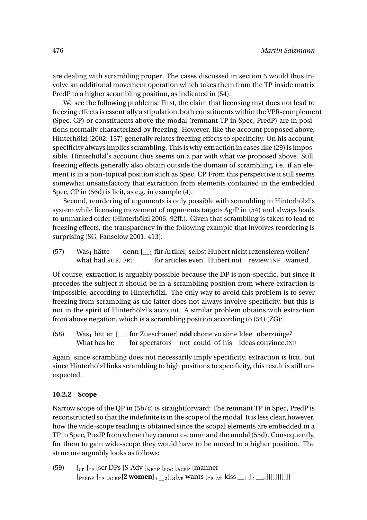are dealing with scrambling proper. The cases discussed in section 5 would thus involve an additional movement operation which takes them from the TP inside matrix PredP to a higher scrambling position, as indicated in (54).

We see the following problems: First, the claim that licensing mvt does not lead to freezing effects is essentially a stipulation,both constituents within the VPR-complement (Spec, CP) or constituents above the modal (remnant TP in Spec, PredP) are in positions normally characterized by freezing. However, like the account proposed above, Hinterhölzl (2002: 137) generally relates freezing effects to specificity. On his account, specificity always implies scrambling. This is why extraction in cases like (29) is impossible. Hinterhölzl's account thus seems on a par with what we proposed above. Still, freezing effects generally also obtain outside the domain of scrambling, i.e. if an element is in a non-topical position such as Spec, CP. From this perspective it still seems somewhat unsatisfactory that extraction from elements contained in the embedded Spec, CP in (56d) is licit, as e.g. in example (4).

Second, reordering of arguments is only possible with scrambling in Hinterhölzl's system while licensing movement of arguments targets AgrP in (54) and always leads to unmarked order (Hinterhölzl 2006: 92ff.). Given that scrambling is taken to lead to freezing effects, the transparency in the following example that involves reordering is surprising (SG, Fanselow 2001: 413):

 $(57)$  Was<sub>1</sub> hätte what had.SUBJ PRT denn [\_\_<sup>1</sup> für Artikel] selbst Hubert nicht rezensieren wollen? for articles even Hubert not review.INF wanted

Of course, extraction is arguably possible because the DP is non-specific, but since it precedes the subject it should be in a scrambling position from where extraction is impossible, according to Hinterhölzl. The only way to avoid this problem is to sever freezing from scrambling as the latter does not always involve specificity, but this is not in the spirit of Hinterhölzl's account. A similar problem obtains with extraction from above negation, which is a scrambling position according to (54) (ZG):

(58) Was<sub>1</sub> hät er [<sub>1</sub> für Zueschauer] **nöd** chöne vo siine Idee überzüüge? What has he for spectators not could of his ideas convince.INF

Again, since scrambling does not necessarily imply specificity, extraction is licit, but since Hinterhölzl links scrambling to high positions to specificity, this result is still unexpected.

#### **10.2.2 Scope**

Narrow scope of the QP in (5b/c) is straightforward: The remnant TP in Spec, PredP is reconstructed so that the indefinite is in the scope of the modal. It is less clear, however, how the wide-scope reading is obtained since the scopal elements are embedded in a TP in Spec, PredP from where they cannot c-command the modal (55d). Consequently, for them to gain wide-scope they would have to be moved to a higher position. The structure arguably looks as follows:

(59)  $\left[\begin{array}{cc}C_{\text{CP}}\end{array}\right]$  [CP  $\left[\begin{array}{cc}T_{\text{CP}}\end{array}\right]$  [S-Adv  $\left[\begin{array}{cc}N_{\text{EGP}}\end{array}\right]$  [ $\left[\begin{array}{cc}C_{\text{C}}\end{array}\right]$  [ $\left[\begin{array}{cc}C_{\text{AP}}\end{array}\right]$  [ $\left[\begin{array}{cc}C_{\text{CP}}\end{array}\right]$  [ $\left[\begin{array}{cc}C_{\text{CP}}\end{array}\right]$  [ $\left[\begin{array}{cc}C_{\text{CP}}$  $[$ <sub>PREDP</sub> $[$ <sub>TP</sub> $[$ <sub>AGR</sub> $[$ **2 women** $]$ <sub>1</sub>  $]$ <sub>2</sub> $]$ ]<sub>3</sub> $[$ <sub>VP</sub> wants $[$ <sub>CP</sub> $[$ <sub>VP</sub> $]$  kiss  $]$ <sub>1</sub> $]$ <sub>2</sub> $]$ <sub>3</sub>]]]]]]]]]]]]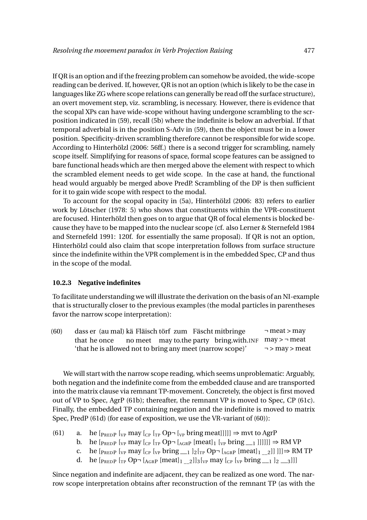If QR is an option and if the freezing problem can somehow be avoided, the wide-scope reading can be derived. If, however, QR is not an option (which is likely to be the case in languages like ZG where scope relations can generally be read off the surface structure), an overt movement step, viz. scrambling, is necessary. However, there is evidence that the scopal XPs can have wide-scope without having undergone scrambling to the scrposition indicated in (59), recall (5b) where the indefinite is below an adverbial. If that temporal adverbial is in the position S-Adv in (59), then the object must be in a lower position. Specificity-driven scrambling therefore cannot be responsible for wide scope. According to Hinterhölzl (2006: 56ff.) there is a second trigger for scrambling, namely scope itself. Simplifying for reasons of space, formal scope features can be assigned to bare functional heads which are then merged above the element with respect to which the scrambled element needs to get wide scope. In the case at hand, the functional head would arguably be merged above PredP. Scrambling of the DP is then sufficient for it to gain wide scope with respect to the modal.

To account for the scopal opacity in (5a), Hinterhölzl (2006: 83) refers to earlier work by Lötscher (1978: 5) who shows that constituents within the VPR-constituent are focused. Hinterhölzl then goes on to argue that QR of focal elements is blocked because they have to be mapped into the nuclear scope (cf. also Lerner & Sternefeld 1984 and Sternefeld 1991: 120f. for essentially the same proposal). If QR is not an option, Hinterhölzl could also claim that scope interpretation follows from surface structure since the indefinite within the VPR complement is in the embedded Spec, CP and thus in the scope of the modal.

#### **10.2.3 Negative indefinites**

To facilitate understanding we will illustrate the derivation on the basis of an NI-example that is structurally closer to the previous examples (the modal particles in parentheses favor the narrow scope interpretation):

(60) dass er (au mal) kä Fläisch törf zum Fäscht mitbringe that he once no meet may to.the party bring.with.INF may > ¬ meat 'that he is allowed not to bring any meet (narrow scope)' ¬ meat > may  $\neg$  > may > meat

We will start with the narrow scope reading, which seems unproblematic: Arguably, both negation and the indefinite come from the embedded clause and are transported into the matrix clause via remnant TP-movement. Concretely, the object is first moved out of VP to Spec, AgrP (61b); thereafter, the remnant VP is moved to Spec, CP (61c). Finally, the embedded TP containing negation and the indefinite is moved to matrix Spec, PredP (61d) (for ease of exposition, we use the VR-variant of (60)):

- (61) a. he  $[_{PREDP}$   $[_{VP}$  may  $[_{CP}$   $[_{TP}$   $Op \neg$   $[_{VP}$  bring meat]]]]]  $\Rightarrow$  mvt to AgrP
	- b. he  $[p_{REDP} [v_P \text{ may } [c_P [r_P \text{ Op} \neg [A_{GRP} [\text{meat}]_1 [v_P \text{ bring } \bot_1 ]]]]]] \Rightarrow \text{RM VP}$ <br>c. he  $[p_{PEDP} [v_P \text{ may } [c_P [v_P \text{ bring } \bot_1]_2 [r_P \text{ Op} \neg [A_{CPP} [\text{meat}]_1 \bot_2]]]] \Rightarrow \text{RM}$
	- c. he  $[P_{REDP}$   $[v_P \text{ may } [c_P \{v_P \text{ bring} \_1 \_2] \_2 | T_P \text{ Op} \neg [A_{GRP} \text{ [meat]}_1 \_2]] ]] \Rightarrow \text{RM TP}$ <br>d. he  $[P_{REDP}$   $[r_P \text{ Op} \neg [A_{CPP} \text{ [meat]}_1 \_2] \_3 | T_P \text{ may } [c_P \{v_P \text{ bring} \_1 \_2 \_3]]]$
	- he  $[p_{REDP} [T_P Op \neg [A_{GRP} [meat]_{1} \_2]]_3[p_P \text{ may } [C_P [T_P bring]_{2} \_1]_2 \_3]]$

Since negation and indefinite are adjacent, they can be realized as one word. The narrow scope interpretation obtains after reconstruction of the remnant TP (as with the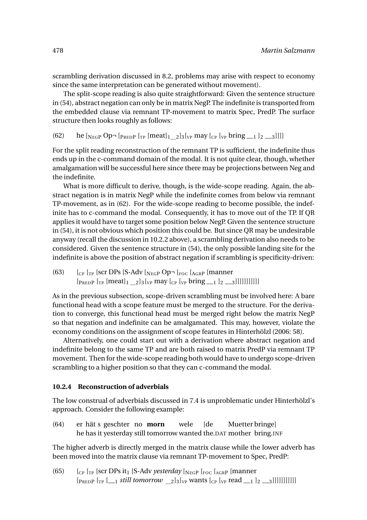scrambling derivation discussed in 8.2, problems may arise with respect to economy since the same interpretation can be generated without movement).

The split-scope reading is also quite straightforward: Given the sentence structure in (54), abstract negation can only be in matrix NegP. The indefinite is transported from the embedded clause via remnant TP-movement to matrix Spec, PredP. The surface structure then looks roughly as follows:

```
(62) he \lbrack_{\text{NEGP}} Op¬ \lbrack_{\text{PREDP}} \lbrack_{\text{TP}} \lbrack_{\text{med}}\rbrack<sub>1</sub> \lbrack_{\text{2}}\rbrack<sub>2</sub> \lbrack_{\text{NP}} bring __1 \lbrack_{2} __3]]]]
```
For the split reading reconstruction of the remnant TP is sufficient, the indefinite thus ends up in the c-command domain of the modal. It is not quite clear, though, whether amalgamation will be successful here since there may be projections between Neg and the indefinite.

What is more difficult to derive, though, is the wide-scope reading. Again, the abstract negation is in matrix NegP while the indefinite comes from below via remnant TP-movement, as in (62). For the wide-scope reading to become possible, the indefinite has to c-command the modal. Consequently, it has to move out of the TP. If QR applies it would have to target some position below NegP. Given the sentence structure in (54), it is not obvious which position this could be. But since QR may be undesirable anyway (recall the discussion in 10.2.2 above), a scrambling derivation also needs to be considered. Given the sentence structure in (54), the only possible landing site for the indefinite is above the position of abstract negation if scrambling is specificity-driven:

(63)  $\left[\begin{array}{cc}C_{\text{CP}}\end{array}\right]$  [CP  $\left[\begin{array}{cc}T_{\text{CP}}\end{array}\right]$  [S-Adv  $\left[\begin{array}{cc}N_{\text{EGP}}\end{array}\right]$  [Foc  $\left[\begin{array}{cc}A_{\text{GRP}}\end{array}\right]$  [manner  $[p_{REDP} [T_P [meat]_1 \t2]_3[v_P \text{ may } [C_P [V_P] \text{ bring } 1 \t12 \t3]$ ]]]]]]]]]]]]

As in the previous subsection, scope-driven scrambling must be involved here: A bare functional head with a scope feature must be merged to the structure. For the derivation to converge, this functional head must be merged right below the matrix NegP so that negation and indefinite can be amalgamated. This may, however, violate the economy conditions on the assignment of scope features in Hinterhölzl (2006: 58).

Alternatively, one could start out with a derivation where abstract negation and indefinite belong to the same TP and are both raised to matrix PredP via remnant TP movement. Then for the wide-scope reading both would have to undergo scope-driven scrambling to a higher position so that they can c-command the modal.

#### **10.2.4 Reconstruction of adverbials**

The low construal of adverbials discussed in 7.4 is unproblematic under Hinterhölzl's approach. Consider the following example:

 $(64)$ he has it yesterday still tomorrow wanted the.DAT mother bring.INF hät s geschter no **morn** wele [de Muetter bringe]

The higher adverb is directly merged in the matrix clause while the lower adverb has been moved into the matrix clause via remnant TP-movement to Spec, PredP:

(65)  $\int_{CP}$   $\int_{TP}$  [scr DPs it<sub>1</sub> [S-Adv *yesterday*  $\int_{NEGP}$   $\int_{FOC}$   $\int_{AGRP}$  [manner  $[p_{REDP}$   $[r_P \quad \boxed{1} \quad \text{still tomorrow} \quad 2]_3[v_P \text{ wants}$   $[v_P \text{ read} \quad \boxed{1} \quad 2 \quad \boxed{3}$ ]]]]]]]]]]]]]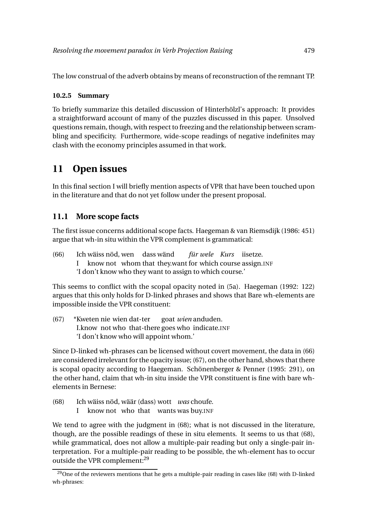The low construal of the adverb obtains by means of reconstruction of the remnant TP.

#### **10.2.5 Summary**

To briefly summarize this detailed discussion of Hinterhölzl's approach: It provides a straightforward account of many of the puzzles discussed in this paper. Unsolved questions remain, though, with respect to freezing and the relationship between scrambling and specificity. Furthermore, wide-scope readings of negative indefinites may clash with the economy principles assumed in that work.

# **11 Open issues**

In this final section I will briefly mention aspects of VPR that have been touched upon in the literature and that do not yet follow under the present proposal.

### **11.1 More scope facts**

The first issue concerns additional scope facts. Haegeman & van Riemsdijk (1986: 451) argue that wh-in situ within the VPR complement is grammatical:

 $(66)$ I wäiss nöd, wen dass wänd know not whom that they.want for which course assign.INF *für wele Kurs* iisetze. 'I don't know who they want to assign to which course.'

This seems to conflict with the scopal opacity noted in (5a). Haegeman (1992: 122) argues that this only holds for D-linked phrases and shows that Bare wh-elements are impossible inside the VPR constituent:

(67) \*Kweten nie wien dat-ter I.know not who that-there goes who indicate.INF goat *wien* anduden. 'I don't know who will appoint whom.'

Since D-linked wh-phrases can be licensed without covert movement, the data in (66) are considered irrelevant for the opacity issue; (67), on the other hand, shows that there is scopal opacity according to Haegeman. Schönenberger & Penner (1995: 291), on the other hand, claim that wh-in situ inside the VPR constituent is fine with bare whelements in Bernese:

- $(68)$ wäiss nöd, wäär (dass) wott *was* choufe.
	- I know not who that wants was buy.INF

We tend to agree with the judgment in (68); what is not discussed in the literature, though, are the possible readings of these in situ elements. It seems to us that (68), while grammatical, does not allow a multiple-pair reading but only a single-pair interpretation. For a multiple-pair reading to be possible, the wh-element has to occur outside the VPR complement:<sup>29</sup>

<sup>&</sup>lt;sup>29</sup>One of the reviewers mentions that he gets a multiple-pair reading in cases like  $(68)$  with D-linked wh-phrases: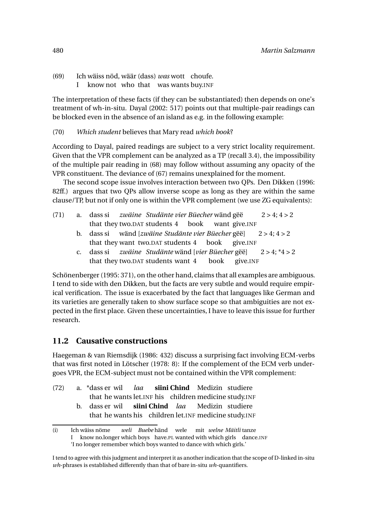$(69)$ wäiss nöd, wäär (dass) *was* wott choufe.

I know not who that was wants buy.INF

The interpretation of these facts (if they can be substantiated) then depends on one's treatment of wh-in-situ. Dayal (2002: 517) points out that multiple-pair readings can be blocked even in the absence of an island as e.g. in the following example:

(70) *Which student* believes that Mary read *which book*?

According to Dayal, paired readings are subject to a very strict locality requirement. Given that the VPR complement can be analyzed as a TP (recall 3.4), the impossibility of the multiple pair reading in (68) may follow without assuming any opacity of the VPR constituent. The deviance of (67) remains unexplained for the moment.

The second scope issue involves interaction between two QPs. Den Dikken (1996: 82ff.) argues that two QPs allow inverse scope as long as they are within the same clause/TP, but not if only one is within the VPR complement (we use ZG equivalents):

| (71) |  |  |  | a. dass si zwäine Studänte vier Büecher wänd gëë | $2 > 4$ ; 4 > 2 |
|------|--|--|--|--------------------------------------------------|-----------------|
|      |  |  |  | that they two.DAT students 4 book want give.INF  |                 |

- b. dass si wänd [*zwäine Studänte vier Büecher* gëë] that they want two.DAT students 4 book give.INF  $2 > 4$ ;  $4 > 2$
- c. dass si that they two.DAT students want 4 *zwäine Studänte* wänd [*vier Büecher* gëë] book give.INF  $2 > 4$ ;  $*4 > 2$

Schönenberger (1995: 371), on the other hand, claims that all examples are ambiguous. I tend to side with den Dikken, but the facts are very subtle and would require empirical verification. The issue is exacerbated by the fact that languages like German and its varieties are generally taken to show surface scope so that ambiguities are not expected in the first place. Given these uncertainties, I have to leave this issue for further research.

### **11.2 Causative constructions**

Haegeman & van Riemsdijk (1986: 432) discuss a surprising fact involving ECM-verbs that was first noted in Lötscher (1978: 8): If the complement of the ECM verb undergoes VPR, the ECM-subject must not be contained within the VPR complement:

- (72) a. \*dass er wil *laa* **siini Chind** Medizin studiere
	- that he wants let.INF his children medicine study.INF
	- b. dass er wil that he wants his children let.INF medicine study.INF **siini Chind** *laa* Medizin studiere

<sup>(</sup>i) Ich wäiss nöme I know no.longer which boys have.PL wanted with which girls dance.INF *weli Buebe* händ wele mit *welne Mäitli* tanze

<sup>&#</sup>x27;I no longer remember which boys wanted to dance with which girls.'

I tend to agree with this judgment and interpret it as anotherindication that the scope of D-linked in-situ *wh*-phrases is established differently than that of bare in-situ *wh*-quantifiers.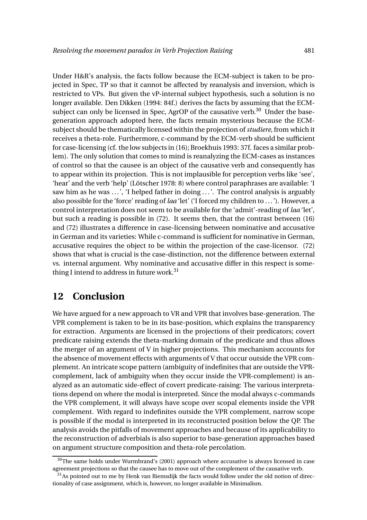Under H&R's analysis, the facts follow because the ECM-subject is taken to be projected in Spec, TP so that it cannot be affected by reanalysis and inversion, which is restricted to VPs. But given the vP-internal subject hypothesis, such a solution is no longer available. Den Dikken (1994: 84f.) derives the facts by assuming that the ECMsubject can only be licensed in Spec, AgrOP of the causative verb.<sup>30</sup> Under the basegeneration approach adopted here, the facts remain mysterious because the ECMsubject should be thematically licensed within the projection of*studiere*, from which it receives a theta-role. Furthermore, c-command by the ECM-verb should be sufficient for case-licensing (cf. the low subjects in (16); Broekhuis 1993: 37f. faces a similar problem). The only solution that comes to mind is reanalyzing the ECM-cases as instances of control so that the causee is an object of the causative verb and consequently has to appear within its projection. This is not implausible for perception verbs like 'see', 'hear' and the verb 'help' (Lötscher 1978: 8) where control paraphrases are available: 'I saw him as he was ...', 'I helped father in doing ...'. The control analysis is arguably also possible for the 'force' reading of *laa* 'let' ('I forced my children to ...'). However, a control interpretation does not seem to be available for the 'admit'-reading of *laa* 'let', but such a reading is possible in (72). It seems then, that the contrast between (16) and (72) illustrates a difference in case-licensing between nominative and accusative in German and its varieties: While c-command is sufficient for nominative in German, accusative requires the object to be within the projection of the case-licensor. (72) shows that what is crucial is the case-distinction, not the difference between external vs. internal argument. Why nominative and accusative differ in this respect is something I intend to address in future work.<sup>31</sup>

### **12 Conclusion**

We have argued for a new approach to VR and VPR that involves base-generation. The VPR complement is taken to be in its base-position, which explains the transparency for extraction. Arguments are licensed in the projections of their predicators; covert predicate raising extends the theta-marking domain of the predicate and thus allows the merger of an argument of V in higher projections. This mechanism accounts for the absence of movement effects with arguments of V that occur outside the VPR complement. An intricate scope pattern (ambiguity of indefinites that are outside the VPRcomplement, lack of ambiguity when they occur inside the VPR-complement) is analyzed as an automatic side-effect of covert predicate-raising: The various interpretations depend on where the modal is interpreted. Since the modal always c-commands the VPR complement, it will always have scope over scopal elements inside the VPR complement. With regard to indefinites outside the VPR complement, narrow scope is possible if the modal is interpreted in its reconstructed position below the QP. The analysis avoids the pitfalls of movement approaches and because of its applicability to the reconstruction of adverbials is also superior to base-generation approaches based on argument structure composition and theta-role percolation.

 $30$ The same holds under Wurmbrand's (2001) approach where accusative is always licensed in case agreement projections so that the causee has to move out of the complement of the causative verb.

 $31$ As pointed out to me by Henk van Riemsdijk the facts would follow under the old notion of directionality of case assignment, which is, however, no longer available in Minimalism.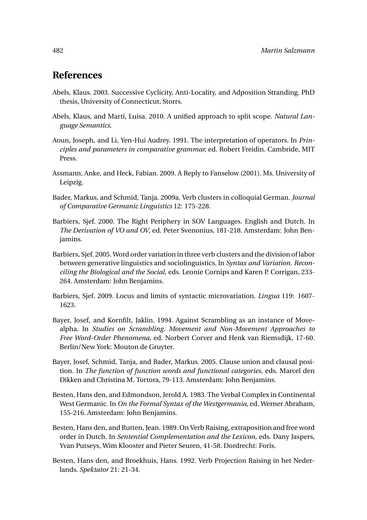### **References**

- Abels, Klaus. 2003. Successive Cyclicity, Anti-Locality, and Adposition Stranding. PhD thesis, University of Connecticut, Storrs.
- Abels, Klaus, and Martí, Luisa. 2010. A unified approach to split scope. *Natural Language Semantics*.
- Aoun, Joseph, and Li, Yen-Hui Audrey. 1991. The interpretation of operators. In *Principles and parameters in comparative grammar,* ed. Robert Freidin. Cambride, MIT Press.
- Assmann, Anke, and Heck, Fabian. 2009. A Reply to Fanselow (2001). Ms. University of Leipzig.
- Bader, Markus, and Schmid, Tanja. 2009a. Verb clusters in colloquial German. *Journal of Comparative Germanic Linguistics* 12: 175-228.
- Barbiers, Sjef. 2000. The Right Periphery in SOV Languages. English and Dutch. In *The Derivation of VO and OV*, ed. Peter Svenonius, 181-218. Amsterdam: John Benjamins.
- Barbiers, Sjef. 2005. Word order variation in three verb clusters and the division of labor between generative linguistics and sociolinguistics. In *Syntax and Variation. Reconciling the Biological and the Social,* eds. Leonie Cornips and Karen P. Corrigan, 233- 264. Amsterdam: John Benjamins.
- Barbiers, Sjef. 2009. Locus and limits of syntactic microvariation. *Lingua* 119: 1607- 1623.
- Bayer, Josef, and Kornfilt, Jaklin. 1994. Against Scrambling as an instance of Movealpha. In *Studies on Scrambling. Movement and Non-Movement Approaches to Free Word-Order Phenomena,* ed. Norbert Corver and Henk van Riemsdijk, 17-60. Berlin/New York: Mouton de Gruyter.
- Bayer, Josef, Schmid, Tanja, and Bader, Markus. 2005. Clause union and clausal position. In *The function of function words and functional categories,* eds. Marcel den Dikken and Christina M. Tortora, 79-113. Amsterdam: John Benjamins.
- Besten, Hans den, and Edmondson, Jerold A. 1983. The Verbal Complex in Continental West Germanic. In *On the Formal Syntax of the Westgermania,* ed. Werner Abraham, 155-216. Amsterdam: John Benjamins.
- Besten, Hans den, and Rutten, Jean. 1989. On Verb Raising, extraposition and free word order in Dutch. In *Sentential Complementation and the Lexicon*, eds. Dany Jaspers, Yvan Putseys, Wim Klooster and Pieter Seuren, 41-58. Dordrecht: Foris.
- Besten, Hans den, and Broekhuis, Hans. 1992. Verb Projection Raising in het Nederlands. *Spektator* 21: 21-34.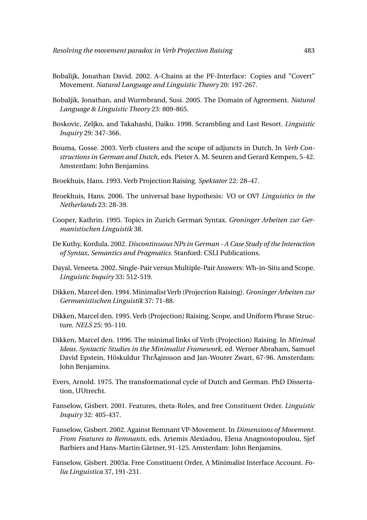- Bobalijk, Jonathan David. 2002. A-Chains at the PF-Interface: Copies and "Covert" Movement. *Natural Language and Linguistic Theory* 20: 197-267.
- Bobaljik, Jonathan, and Wurmbrand, Susi. 2005. The Domain of Agreement. *Natural Language & Linguistic Theory* 23: 809-865.
- Boskovic, Zeljko, and Takahashi, Daiko. 1998. Scrambling and Last Resort. *Linguistic Inquiry* 29: 347-366.
- Bouma, Gosse. 2003. Verb clusters and the scope of adjuncts in Dutch. In *Verb Constructions in German and Dutch,* eds. Pieter A. M. Seuren and Gerard Kempen, 5-42. Amsterdam: John Benjamins.
- Broekhuis, Hans. 1993. Verb Projection Raising. *Spektator* 22: 28–47.
- Broekhuis, Hans. 2006. The universal base hypothesis: VO or OV? *Linguistics in the Netherlands* 23: 28-39.
- Cooper, Kathrin. 1995. Topics in Zurich German Syntax. *Groninger Arbeiten zur Germanistischen Linguistik* 38.
- De Kuthy, Kordula. 2002. *Discontinuous NPs in German A Case Study of the Interaction of Syntax, Semantics and Pragmatics.* Stanford: CSLI Publications.
- Dayal, Veneeta. 2002. Single-Pair versus Multiple-Pair Answers: Wh-in-Situ and Scope. *Linguistic Inquiry* 33: 512-519.
- Dikken, Marcel den. 1994. Minimalist Verb (Projection Raising). *Groninger Arbeiten zur Germanistischen Linguistik* 37: 71-88.
- Dikken, Marcel den. 1995. Verb (Projection) Raising, Scope, and Uniform Phrase Structure. *NELS* 25: 95-110.
- Dikken, Marcel den. 1996. The minimal links of Verb (Projection) Raising. In *Minimal Ideas. Syntactic Studies in the Minimalist Framework,* ed. Werner Abraham, Samuel David Epstein, Höskuldur ThrÃainsson and Jan-Wouter Zwart, 67-96. Amsterdam: John Benjamins.
- Evers, Arnold. 1975. The transformational cycle of Dutch and German. PhD Dissertation, UUtrecht.
- Fanselow, Gisbert. 2001. Features, theta-Roles, and free Constituent Order. *Linguistic Inquiry* 32: 405-437.
- Fanselow, Gisbert. 2002. Against Remnant VP-Movement. In *Dimensions of Movement. From Features to Remnants,* eds. Artemis Alexiadou, Elena Anagnostopoulou, Sjef Barbiers and Hans-Martin Gärtner, 91-125. Amsterdam: John Benjamins.
- Fanselow, Gisbert. 2003a. Free Constituent Order, A Minimalist Interface Account. *Folia Linguistica* 37, 191-231.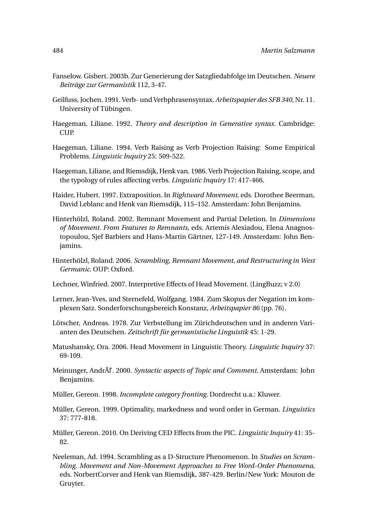- Fanselow. Gisbert. 2003b. Zur Generierung der Satzgliedabfolge im Deutschen. *Neuere Beiträge zur Germanistik* 112, 3-47.
- Geilfuss, Jochen. 1991. Verb- und Verbphrasensyntax. *Arbeitspapier des SFB 340,* Nr. 11. University of Tübingen.
- Haegeman, Liliane. 1992. *Theory and description in Generative syntax.* Cambridge: CUP.
- Haegeman, Liliane. 1994. Verb Raising as Verb Projection Raising: Some Empirical Problems. *Linguistic Inquiry* 25: 509-522.
- Haegeman, Liliane, and Riemsdijk, Henk van. 1986. Verb Projection Raising, scope, and the typology of rules affecting verbs. *Linguistic Inquiry* 17: 417-466.
- Haider, Hubert. 1997. Extraposition. In *Rightward Movement*, eds. Dorothee Beerman, David Leblanc and Henk van Riemsdijk, 115–152. Amsterdam: John Benjamins.
- Hinterhölzl, Roland. 2002. Remnant Movement and Partial Deletion. In *Dimensions of Movement. From Features to Remnants*, eds. Artemis Alexiadou, Elena Anagnostopoulou, Sjef Barbiers and Hans-Martin Gärtner, 127-149. Amsterdam: John Benjamins.
- Hinterhölzl, Roland. 2006. *Scrambling, Remnant Movement, and Restructuring in West Germanic.* OUP: Oxford.
- Lechner, Winfried. 2007. Interpretive Effects of Head Movement. (LingBuzz; v 2.0)
- Lerner, Jean-Yves, and Sternefeld, Wolfgang. 1984. Zum Skopus der Negation im komplexen Satz. Sonderforschungsbereich Konstanz, *Arbeitspapier 86* (pp. 76).
- Lötscher, Andreas. 1978. Zur Verbstellung im Zürichdeutschen und in anderen Varianten des Deutschen. *Zeitschrift für germanistische Linguistik* 45: 1-29.
- Matushansky, Ora. 2006. Head Movement in Linguistic Theory. *Linguistic Inquiry* 37: 69-109.
- Meinunger, AndrÃl'. 2000. *Syntactic aspects of Topic and Comment.* Amsterdam: John Benjamins.
- Müller, Gereon. 1998. *Incomplete category fronting.* Dordrecht u.a.: Kluwer.
- Müller, Gereon. 1999. Optimality, markedness and word order in German. *Linguistics* 37: 777-818.
- Müller, Gereon. 2010. On Deriving CED Effects from the PIC. *Linguistic Inquiry* 41: 35- 82.
- Neeleman, Ad. 1994. Scrambling as a D-Structure Phenomenon. In *Studies on Scrambling. Movement and Non-Movement Approaches to Free Word-Order Phenomena,* eds. NorbertCorver and Henk van Riemsdijk, 387-429. Berlin/New York: Mouton de Gruyter.